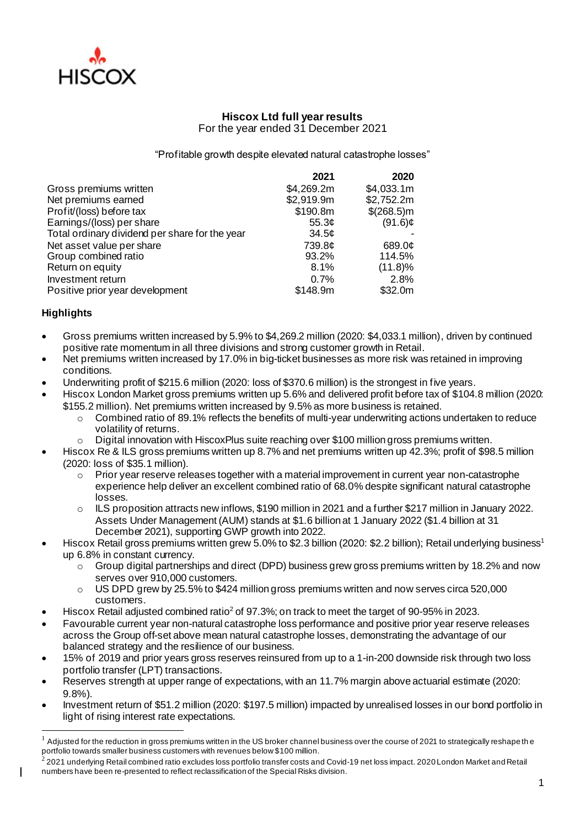

# **Hiscox Ltd full year results** For the year ended 31 December 2021

"Profitable growth despite elevated natural catastrophe losses"

|                                                | 2021               | 2020        |
|------------------------------------------------|--------------------|-------------|
| Gross premiums written                         | \$4,269.2m         | \$4,033.1m  |
| Net premiums earned                            | \$2,919.9m         | \$2,752.2m  |
| Profit/(loss) before tax                       | \$190.8m           | \$(268.5) m |
| Earnings/(loss) per share                      | 55.3 $\mathcal{C}$ | $(91.6)$ ¢  |
| Total ordinary dividend per share for the year | 34.5¢              |             |
| Net asset value per share                      | 739.8¢             | 689.0¢      |
| Group combined ratio                           | 93.2%              | 114.5%      |
| Return on equity                               | 8.1%               | (11.8)%     |
| Investment return                              | 0.7%               | 2.8%        |
| Positive prior year development                | \$148.9m           | \$32.0m     |

# **Highlights**

- Gross premiums written increased by 5.9% to \$4,269.2 million (2020: \$4,033.1 million), driven by continued positive rate momentum in all three divisions and strong customer growth in Retail.
- Net premiums written increased by 17.0% in big-ticket businesses as more risk was retained in improving conditions.
- Underwriting profit of \$215.6 million (2020: loss of \$370.6 million) is the strongest in five years.
- Hiscox London Market gross premiums written up 5.6% and delivered profit before tax of \$104.8 million (2020: \$155.2 million). Net premiums written increased by 9.5% as more business is retained.
	- $\circ$  Combined ratio of 89.1% reflects the benefits of multi-year underwriting actions undertaken to reduce volatility of returns.
	- Digital innovation with HiscoxPlus suite reaching over \$100 million gross premiums written.
- Hiscox Re & ILS gross premiums written up 8.7% and net premiums written up 42.3%; profit of \$98.5 million (2020: loss of \$35.1 million).
	- $\circ$  Prior year reserve releases together with a material improvement in current year non-catastrophe experience help deliver an excellent combined ratio of 68.0% despite significant natural catastrophe losses.
	- o ILS proposition attracts new inflows, \$190 million in 2021 and a further \$217 million in January 2022. Assets Under Management (AUM) stands at \$1.6 billion at 1 January 2022 (\$1.4 billion at 31 December 2021), supporting GWP growth into 2022.
- Hiscox Retail gross premiums written grew 5.0% to \$2.3 billion (2020: \$2.2 billion); Retail underlying business<sup>1</sup> up 6.8% in constant currency.
	- $\circ$  Group digital partnerships and direct (DPD) business grew gross premiums written by 18.2% and now serves over 910,000 customers.
	- o US DPD grew by 25.5% to \$424 million gross premiums written and now serves circa 520,000 customers.
- Hiscox Retail adjusted combined ratio<sup>2</sup> of 97.3%; on track to meet the target of 90-95% in 2023.
- Favourable current year non-natural catastrophe loss performance and positive prior year reserve releases across the Group off-set above mean natural catastrophe losses, demonstrating the advantage of our balanced strategy and the resilience of our business.
- 15% of 2019 and prior years gross reserves reinsured from up to a 1-in-200 downside risk through two loss portfolio transfer (LPT) transactions.
- Reserves strength at upper range of expectations, with an 11.7% margin above actuarial estimate (2020: 9.8%).
- Investment return of \$51.2 million (2020: \$197.5 million) impacted by unrealised losses in our bond portfolio in light of rising interest rate expectations.

<sup>1</sup> Adjusted for the reduction in gross premiums written in the US broker channel business over the course of 2021 to strategically reshape th e portfolio towards smaller business customers with revenues below \$100 million. 2

<sup>2021</sup> underlying Retail combined ratio excludes loss portfolio transfer costs and Covid-19 net loss impact. 2020 London Market and Retail numbers have been re-presented to reflect reclassification of the Special Risks division.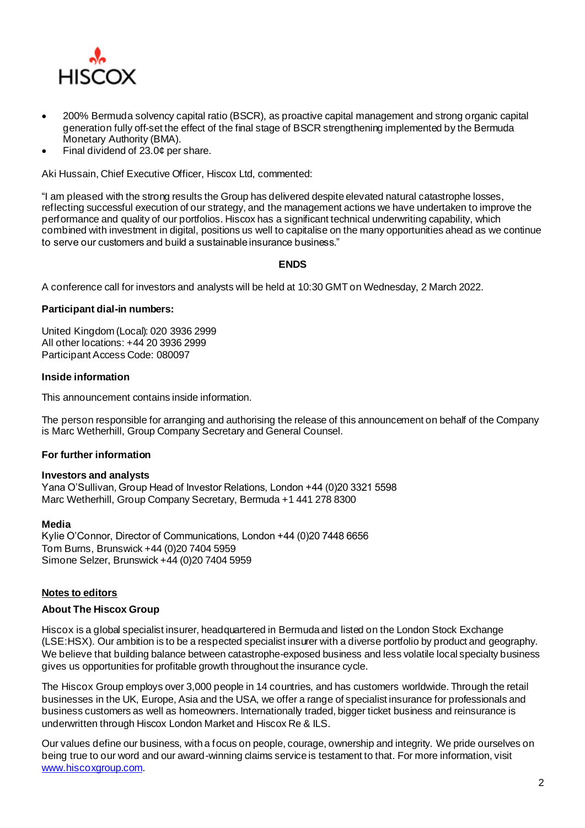

- 200% Bermuda solvency capital ratio (BSCR), as proactive capital management and strong organic capital generation fully off-set the effect of the final stage of BSCR strengthening implemented by the Bermuda Monetary Authority (BMA).
- Final dividend of  $23.0¢$  per share.

Aki Hussain, Chief Executive Officer, Hiscox Ltd, commented:

"I am pleased with the strong results the Group has delivered despite elevated natural catastrophe losses, reflecting successful execution of our strategy, and the management actions we have undertaken to improve the performance and quality of our portfolios. Hiscox has a significant technical underwriting capability, which combined with investment in digital, positions us well to capitalise on the many opportunities ahead as we continue to serve our customers and build a sustainable insurance business."

# **ENDS**

A conference call for investors and analysts will be held at 10:30 GMT on Wednesday, 2 March 2022.

## **Participant dial-in numbers:**

United Kingdom (Local): 020 3936 2999 All other locations: +44 20 3936 2999 Participant Access Code: 080097

## **Inside information**

This announcement contains inside information.

The person responsible for arranging and authorising the release of this announcement on behalf of the Company is Marc Wetherhill, Group Company Secretary and General Counsel.

## **For further information**

## **Investors and analysts**

Yana O'Sullivan, Group Head of Investor Relations, London +44 (0)20 3321 5598 Marc Wetherhill, Group Company Secretary, Bermuda +1 441 278 8300

#### **Media**

Kylie O'Connor, Director of Communications, London +44 (0)20 7448 6656 Tom Burns, Brunswick +44 (0)20 7404 5959 Simone Selzer, Brunswick +44 (0)20 7404 5959

## **Notes to editors**

## **About The Hiscox Group**

Hiscox is a global specialist insurer, headquartered in Bermuda and listed on the London Stock Exchange (LSE:HSX). Our ambition is to be a respected specialist insurer with a diverse portfolio by product and geography. We believe that building balance between catastrophe-exposed business and less volatile local specialty business gives us opportunities for profitable growth throughout the insurance cycle.

The Hiscox Group employs over 3,000 people in 14 countries, and has customers worldwide. Through the retail businesses in the UK, Europe, Asia and the USA, we offer a range of specialist insurance for professionals and business customers as well as homeowners. Internationally traded, bigger ticket business and reinsurance is underwritten through Hiscox London Market and Hiscox Re & ILS.

Our values define our business, with a focus on people, courage, ownership and integrity. We pride ourselves on being true to our word and our award-winning claims service is testament to that. For more information, visit [www.hiscoxgroup.com](http://www.hiscoxgroup.com/).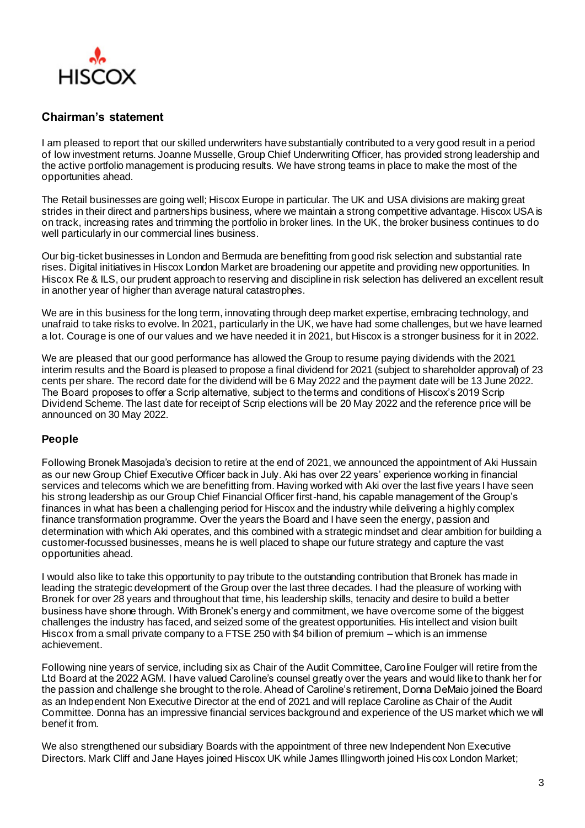

# **Chairman's statement**

I am pleased to report that our skilled underwriters have substantially contributed to a very good result in a period of low investment returns. Joanne Musselle, Group Chief Underwriting Officer, has provided strong leadership and the active portfolio management is producing results. We have strong teams in place to make the most of the opportunities ahead.

The Retail businesses are going well; Hiscox Europe in particular. The UK and USA divisions are making great strides in their direct and partnerships business, where we maintain a strong competitive advantage. Hiscox USA is on track, increasing rates and trimming the portfolio in broker lines. In the UK, the broker business continues to do well particularly in our commercial lines business.

Our big-ticket businesses in London and Bermuda are benefitting from good risk selection and substantial rate rises. Digital initiatives in Hiscox London Market are broadening our appetite and providing new opportunities. In Hiscox Re & ILS, our prudent approach to reserving and discipline in risk selection has delivered an excellent result in another year of higher than average natural catastrophes.

We are in this business for the long term, innovating through deep market expertise, embracing technology, and unafraid to take risks to evolve. In 2021, particularly in the UK, we have had some challenges, but we have learned a lot. Courage is one of our values and we have needed it in 2021, but Hiscox is a stronger business for it in 2022.

We are pleased that our good performance has allowed the Group to resume paying dividends with the 2021 interim results and the Board is pleased to propose a final dividend for 2021 (subject to shareholder approval) of 23 cents per share. The record date for the dividend will be 6 May 2022 and the payment date will be 13 June 2022. The Board proposes to offer a Scrip alternative, subject to the terms and conditions of Hiscox's 2019 Scrip Dividend Scheme. The last date for receipt of Scrip elections will be 20 May 2022 and the reference price will be announced on 30 May 2022.

# **People**

Following Bronek Masojada's decision to retire at the end of 2021, we announced the appointment of Aki Hussain as our new Group Chief Executive Officer back in July. Aki has over 22 years' experience working in financial services and telecoms which we are benefitting from. Having worked with Aki over the last five years I have seen his strong leadership as our Group Chief Financial Officer first-hand, his capable management of the Group's finances in what has been a challenging period for Hiscox and the industry while delivering a highly complex finance transformation programme. Over the years the Board and I have seen the energy, passion and determination with which Aki operates, and this combined with a strategic mindset and clear ambition for building a customer-focussed businesses, means he is well placed to shape our future strategy and capture the vast opportunities ahead.

I would also like to take this opportunity to pay tribute to the outstanding contribution that Bronek has made in leading the strategic development of the Group over the last three decades. I had the pleasure of working with Bronek for over 28 years and throughout that time, his leadership skills, tenacity and desire to build a better business have shone through. With Bronek's energy and commitment, we have overcome some of the biggest challenges the industry has faced, and seized some of the greatest opportunities. His intellect and vision built Hiscox from a small private company to a FTSE 250 with \$4 billion of premium – which is an immense achievement.

Following nine years of service, including six as Chair of the Audit Committee, Caroline Foulger will retire from the Ltd Board at the 2022 AGM. I have valued Caroline's counsel greatly over the years and would like to thank her for the passion and challenge she brought to the role. Ahead of Caroline's retirement, Donna DeMaio joined the Board as an Independent Non Executive Director at the end of 2021 and will replace Caroline as Chair of the Audit Committee. Donna has an impressive financial services background and experience of the US market which we will benefit from.

We also strengthened our subsidiary Boards with the appointment of three new Independent Non Executive Directors. Mark Cliff and Jane Hayes joined Hiscox UK while James Illingworth joined Hiscox London Market;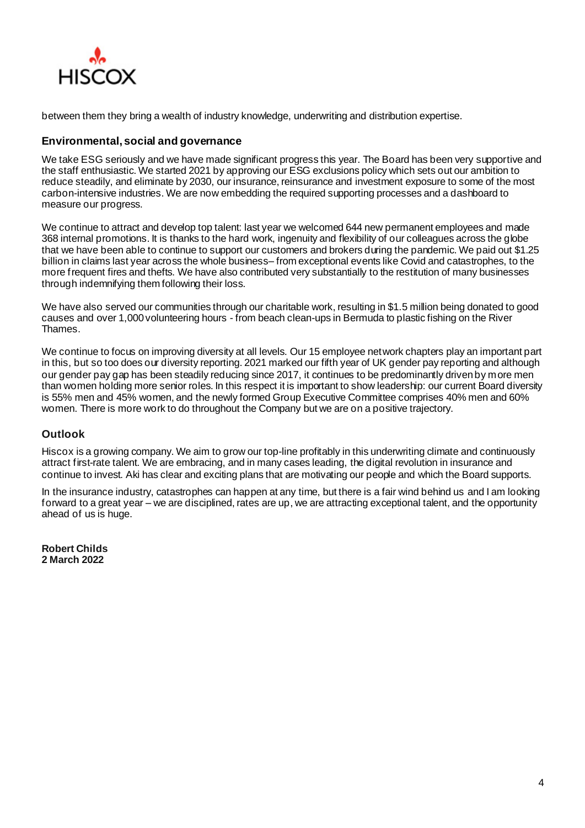

between them they bring a wealth of industry knowledge, underwriting and distribution expertise.

# **Environmental, social and governance**

We take ESG seriously and we have made significant progress this year. The Board has been very supportive and the staff enthusiastic. We started 2021 by approving our ESG exclusions policy which sets out our ambition to reduce steadily, and eliminate by 2030, our insurance, reinsurance and investment exposure to some of the most carbon-intensive industries. We are now embedding the required supporting processes and a dashboard to measure our progress.

We continue to attract and develop top talent: last year we welcomed 644 new permanent employees and made 368 internal promotions. It is thanks to the hard work, ingenuity and flexibility of our colleagues across the globe that we have been able to continue to support our customers and brokers during the pandemic. We paid out \$1.25 billion in claims last year across the whole business– from exceptional events like Covid and catastrophes, to the more frequent fires and thefts. We have also contributed very substantially to the restitution of many businesses through indemnifying them following their loss.

We have also served our communities through our charitable work, resulting in \$1.5 million being donated to good causes and over 1,000 volunteering hours - from beach clean-ups in Bermuda to plastic fishing on the River Thames.

We continue to focus on improving diversity at all levels. Our 15 employee network chapters play an important part in this, but so too does our diversity reporting. 2021 marked our fifth year of UK gender pay reporting and although our gender pay gap has been steadily reducing since 2017, it continues to be predominantly driven by more men than women holding more senior roles. In this respect it is important to show leadership: our current Board diversity is 55% men and 45% women, and the newly formed Group Executive Committee comprises 40% men and 60% women. There is more work to do throughout the Company but we are on a positive trajectory.

# **Outlook**

Hiscox is a growing company. We aim to grow our top-line profitably in this underwriting climate and continuously attract first-rate talent. We are embracing, and in many cases leading, the digital revolution in insurance and continue to invest. Aki has clear and exciting plans that are motivating our people and which the Board supports.

In the insurance industry, catastrophes can happen at any time, but there is a fair wind behind us and I am looking forward to a great year – we are disciplined, rates are up, we are attracting exceptional talent, and the opportunity ahead of us is huge.

**Robert Childs 2 March 2022**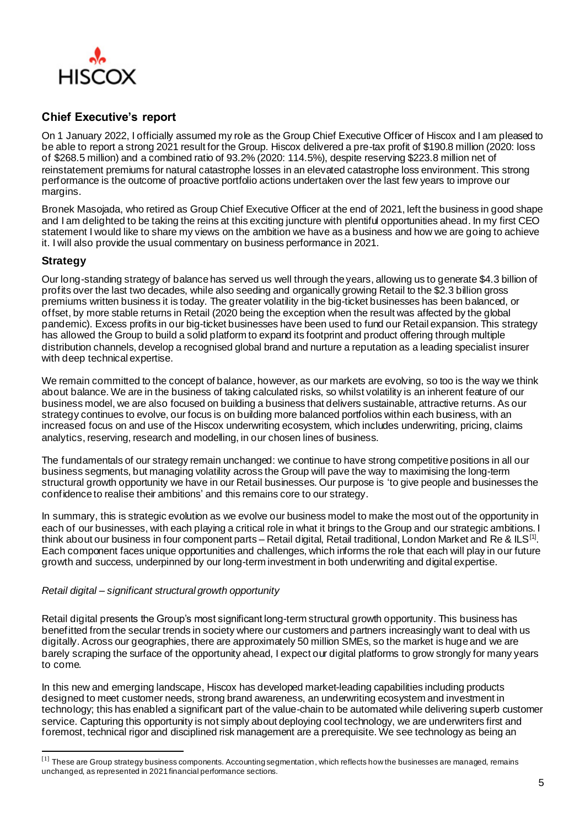

# **Chief Executive's report**

On 1 January 2022, I officially assumed my role as the Group Chief Executive Officer of Hiscox and I am pleased to be able to report a strong 2021 result for the Group. Hiscox delivered a pre-tax profit of \$190.8 million (2020: loss of \$268.5 million) and a combined ratio of 93.2% (2020: 114.5%), despite reserving \$223.8 million net of reinstatement premiums for natural catastrophe losses in an elevated catastrophe loss environment. This strong performance is the outcome of proactive portfolio actions undertaken over the last few years to improve our margins.

Bronek Masojada, who retired as Group Chief Executive Officer at the end of 2021, left the business in good shape and I am delighted to be taking the reins at this exciting juncture with plentiful opportunities ahead. In my first CEO statement I would like to share my views on the ambition we have as a business and how we are going to achieve it. I will also provide the usual commentary on business performance in 2021.

# **Strategy**

Our long-standing strategy of balance has served us well through the years, allowing us to generate \$4.3 billion of profits over the last two decades, while also seeding and organically growing Retail to the \$2.3 billion gross premiums written business it is today. The greater volatility in the big-ticket businesses has been balanced, or offset, by more stable returns in Retail (2020 being the exception when the result was affected by the global pandemic). Excess profits in our big-ticket businesses have been used to fund our Retail expansion. This strategy has allowed the Group to build a solid platform to expand its footprint and product offering through multiple distribution channels, develop a recognised global brand and nurture a reputation as a leading specialist insurer with deep technical expertise.

We remain committed to the concept of balance, however, as our markets are evolving, so too is the way we think about balance. We are in the business of taking calculated risks, so whilst volatility is an inherent feature of our business model, we are also focused on building a business that delivers sustainable, attractive returns. As our strategy continues to evolve, our focus is on building more balanced portfolios within each business, with an increased focus on and use of the Hiscox underwriting ecosystem, which includes underwriting, pricing, claims analytics, reserving, research and modelling, in our chosen lines of business.

The fundamentals of our strategy remain unchanged: we continue to have strong competitive positions in all our business segments, but managing volatility across the Group will pave the way to maximising the long-term structural growth opportunity we have in our Retail businesses. Our purpose is 'to give people and businesses the confidence to realise their ambitions' and this remains core to our strategy.

In summary, this is strategic evolution as we evolve our business model to make the most out of the opportunity in each of our businesses, with each playing a critical role in what it brings to the Group and our strategic ambitions. I think about our business in four component parts – Retail digital, Retail traditional, London Market and Re & ILS<sup>[1]</sup>. Each component faces unique opportunities and challenges, which informs the role that each will play in our future growth and success, underpinned by our long-term investment in both underwriting and digital expertise.

# *Retail digital – significant structural growth opportunity*

Retail digital presents the Group's most significant long-term structural growth opportunity. This business has benefitted from the secular trends in society where our customers and partners increasingly want to deal with us digitally. Across our geographies, there are approximately 50 million SMEs, so the market is huge and we are barely scraping the surface of the opportunity ahead, I expect our digital platforms to grow strongly for many years to come.

In this new and emerging landscape, Hiscox has developed market-leading capabilities including products designed to meet customer needs, strong brand awareness, an underwriting ecosystem and investment in technology; this has enabled a significant part of the value-chain to be automated while delivering superb customer service. Capturing this opportunity is not simply about deploying cool technology, we are underwriters first and foremost, technical rigor and disciplined risk management are a prerequisite. We see technology as being an

<sup>[1]</sup> These are Group strategy business components. Accounting segmentation, which reflects how the businesses are managed, remains unchanged, as represented in 2021 financial performance sections.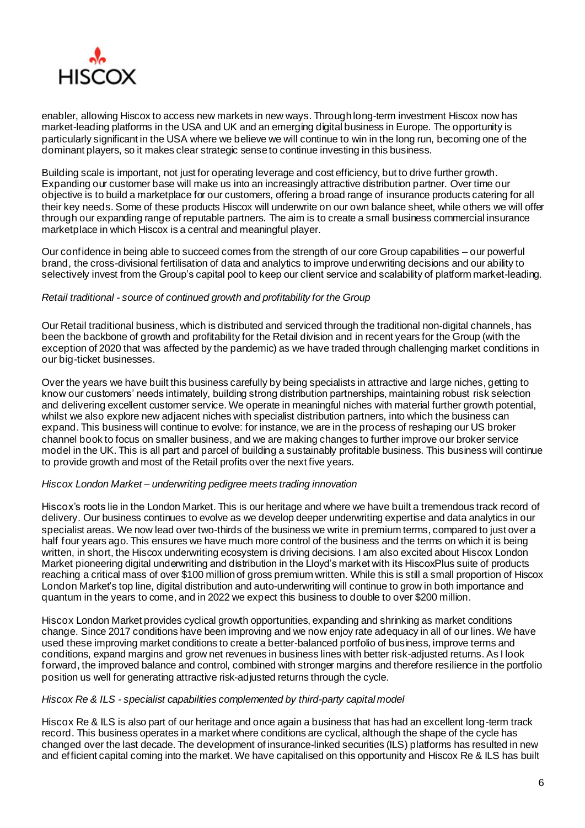

enabler, allowing Hiscox to access new markets in new ways. Through long-term investment Hiscox now has market-leading platforms in the USA and UK and an emerging digital business in Europe. The opportunity is particularly significant in the USA where we believe we will continue to win in the long run, becoming one of the dominant players, so it makes clear strategic sense to continue investing in this business.

Building scale is important, not just for operating leverage and cost efficiency, but to drive further growth. Expanding our customer base will make us into an increasingly attractive distribution partner. Over time our objective is to build a marketplace for our customers, offering a broad range of insurance products catering for all their key needs. Some of these products Hiscox will underwrite on our own balance sheet, while others we will offer through our expanding range of reputable partners. The aim is to create a small business commercial insurance marketplace in which Hiscox is a central and meaningful player.

Our confidence in being able to succeed comes from the strength of our core Group capabilities – our powerful brand, the cross-divisional fertilisation of data and analytics to improve underwriting decisions and our ability to selectively invest from the Group's capital pool to keep our client service and scalability of platform market-leading.

## *Retail traditional - source of continued growth and profitability for the Group*

Our Retail traditional business, which is distributed and serviced through the traditional non-digital channels, has been the backbone of growth and profitability for the Retail division and in recent years for the Group (with the exception of 2020 that was affected by the pandemic) as we have traded through challenging market conditions in our big-ticket businesses.

Over the years we have built this business carefully by being specialists in attractive and large niches, getting to know our customers' needs intimately, building strong distribution partnerships, maintaining robust risk selection and delivering excellent customer service. We operate in meaningful niches with material further growth potential, whilst we also explore new adjacent niches with specialist distribution partners, into which the business can expand. This business will continue to evolve: for instance, we are in the process of reshaping our US broker channel book to focus on smaller business, and we are making changes to further improve our broker service model in the UK. This is all part and parcel of building a sustainably profitable business. This business will continue to provide growth and most of the Retail profits over the next five years.

# *Hiscox London Market – underwriting pedigree meets trading innovation*

Hiscox's roots lie in the London Market. This is our heritage and where we have built a tremendous track record of delivery. Our business continues to evolve as we develop deeper underwriting expertise and data analytics in our specialist areas. We now lead over two-thirds of the business we write in premium terms, compared to just over a half four years ago. This ensures we have much more control of the business and the terms on which it is being written, in short, the Hiscox underwriting ecosystem is driving decisions. I am also excited about Hiscox London Market pioneering digital underwriting and distribution in the Lloyd's market with its HiscoxPlus suite of products reaching a critical mass of over \$100 million of gross premium written. While this is still a small proportion of Hiscox London Market's top line, digital distribution and auto-underwriting will continue to grow in both importance and quantum in the years to come, and in 2022 we expect this business to double to over \$200 million.

Hiscox London Market provides cyclical growth opportunities, expanding and shrinking as market conditions change. Since 2017 conditions have been improving and we now enjoy rate adequacy in all of our lines. We have used these improving market conditions to create a better-balanced portfolio of business, improve terms and conditions, expand margins and grow net revenues in business lines with better risk-adjusted returns. As I look forward, the improved balance and control, combined with stronger margins and therefore resilience in the portfolio position us well for generating attractive risk-adjusted returns through the cycle.

## *Hiscox Re & ILS - specialist capabilities complemented by third-party capital model*

Hiscox Re & ILS is also part of our heritage and once again a business that has had an excellent long-term track record. This business operates in a market where conditions are cyclical, although the shape of the cycle has changed over the last decade. The development of insurance-linked securities (ILS) platforms has resulted in new and efficient capital coming into the market. We have capitalised on this opportunity and Hiscox Re & ILS has built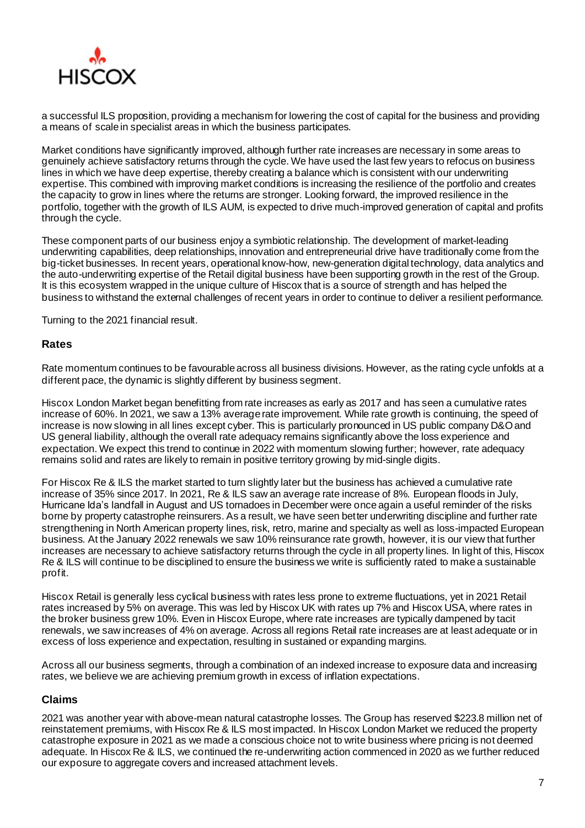

a successful ILS proposition, providing a mechanism for lowering the cost of capital for the business and providing a means of scale in specialist areas in which the business participates.

Market conditions have significantly improved, although further rate increases are necessary in some areas to genuinely achieve satisfactory returns through the cycle. We have used the last few years to refocus on business lines in which we have deep expertise, thereby creating a balance which is consistent with our underwriting expertise. This combined with improving market conditions is increasing the resilience of the portfolio and creates the capacity to grow in lines where the returns are stronger. Looking forward, the improved resilience in the portfolio, together with the growth of ILS AUM, is expected to drive much-improved generation of capital and profits through the cycle.

These component parts of our business enjoy a symbiotic relationship. The development of market-leading underwriting capabilities, deep relationships, innovation and entrepreneurial drive have traditionally come from the big-ticket businesses. In recent years, operational know-how, new-generation digital technology, data analytics and the auto-underwriting expertise of the Retail digital business have been supporting growth in the rest of the Group. It is this ecosystem wrapped in the unique culture of Hiscox that is a source of strength and has helped the business to withstand the external challenges of recent years in order to continue to deliver a resilient performance.

Turning to the 2021 financial result.

# **Rates**

Rate momentum continues to be favourable across all business divisions. However, as the rating cycle unfolds at a different pace, the dynamic is slightly different by business segment.

Hiscox London Market began benefitting from rate increases as early as 2017 and has seen a cumulative rates increase of 60%. In 2021, we saw a 13% average rate improvement. While rate growth is continuing, the speed of increase is now slowing in all lines except cyber. This is particularly pronounced in US public company D&O and US general liability, although the overall rate adequacy remains significantly above the loss experience and expectation. We expect this trend to continue in 2022 with momentum slowing further; however, rate adequacy remains solid and rates are likely to remain in positive territory growing by mid-single digits.

For Hiscox Re & ILS the market started to turn slightly later but the business has achieved a cumulative rate increase of 35% since 2017. In 2021, Re & ILS saw an average rate increase of 8%. European floods in July, Hurricane Ida's landfall in August and US tornadoes in December were once again a useful reminder of the risks borne by property catastrophe reinsurers. As a result, we have seen better underwriting discipline and further rate strengthening in North American property lines, risk, retro, marine and specialty as well as loss-impacted European business. At the January 2022 renewals we saw 10% reinsurance rate growth, however, it is our view that further increases are necessary to achieve satisfactory returns through the cycle in all property lines. In light of this, Hiscox Re & ILS will continue to be disciplined to ensure the business we write is sufficiently rated to make a sustainable profit.

Hiscox Retail is generally less cyclical business with rates less prone to extreme fluctuations, yet in 2021 Retail rates increased by 5% on average. This was led by Hiscox UK with rates up 7% and Hiscox USA, where rates in the broker business grew 10%. Even in Hiscox Europe, where rate increases are typically dampened by tacit renewals, we saw increases of 4% on average. Across all regions Retail rate increases are at least adequate or in excess of loss experience and expectation, resulting in sustained or expanding margins.

Across all our business segments, through a combination of an indexed increase to exposure data and increasing rates, we believe we are achieving premium growth in excess of inflation expectations.

# **Claims**

2021 was another year with above-mean natural catastrophe losses. The Group has reserved \$223.8 million net of reinstatement premiums, with Hiscox Re & ILS most impacted. In Hiscox London Market we reduced the property catastrophe exposure in 2021 as we made a conscious choice not to write business where pricing is not deemed adequate. In Hiscox Re & ILS, we continued the re-underwriting action commenced in 2020 as we further reduced our exposure to aggregate covers and increased attachment levels.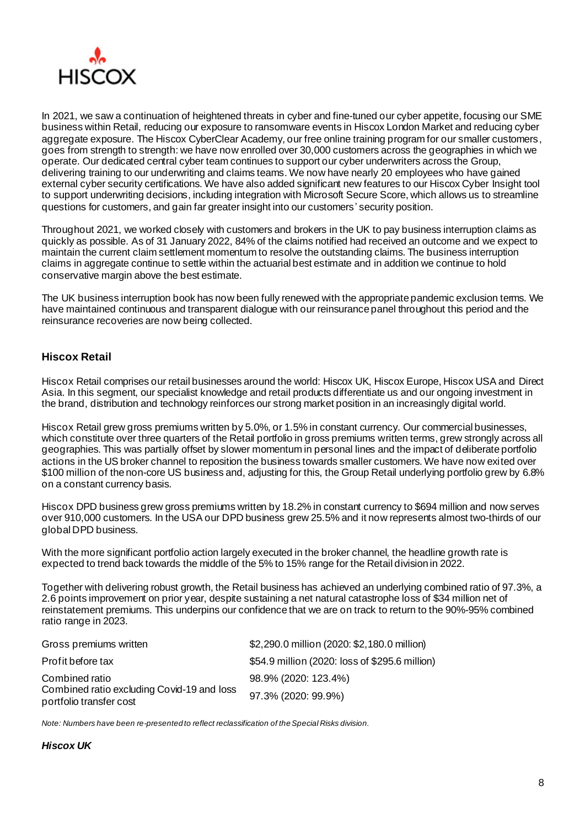

In 2021, we saw a continuation of heightened threats in cyber and fine-tuned our cyber appetite, focusing our SME business within Retail, reducing our exposure to ransomware events in Hiscox London Market and reducing cyber aggregate exposure. The Hiscox CyberClear Academy, our free online training program for our smaller customers, goes from strength to strength: we have now enrolled over 30,000 customers across the geographies in which we operate. Our dedicated central cyber team continues to support our cyber underwriters across the Group, delivering training to our underwriting and claims teams. We now have nearly 20 employees who have gained external cyber security certifications. We have also added significant new features to our Hiscox Cyber Insight tool to support underwriting decisions, including integration with Microsoft Secure Score, which allows us to streamline questions for customers, and gain far greater insight into our customers' security position.

Throughout 2021, we worked closely with customers and brokers in the UK to pay business interruption claims as quickly as possible. As of 31 January 2022, 84% of the claims notified had received an outcome and we expect to maintain the current claim settlement momentum to resolve the outstanding claims. The business interruption claims in aggregate continue to settle within the actuarial best estimate and in addition we continue to hold conservative margin above the best estimate.

The UK business interruption book has now been fully renewed with the appropriate pandemic exclusion terms. We have maintained continuous and transparent dialogue with our reinsurance panel throughout this period and the reinsurance recoveries are now being collected.

# **Hiscox Retail**

Hiscox Retail comprises our retail businesses around the world: Hiscox UK, Hiscox Europe, Hiscox USA and Direct Asia. In this segment, our specialist knowledge and retail products differentiate us and our ongoing investment in the brand, distribution and technology reinforces our strong market position in an increasingly digital world.

Hiscox Retail grew gross premiums written by 5.0%, or 1.5% in constant currency. Our commercial businesses, which constitute over three quarters of the Retail portfolio in gross premiums written terms, grew strongly across all geographies. This was partially offset by slower momentum in personal lines and the impact of deliberate portfolio actions in the US broker channel to reposition the business towards smaller customers. We have now exited over \$100 million of the non-core US business and, adjusting for this, the Group Retail underlying portfolio grew by 6.8% on a constant currency basis.

Hiscox DPD business grew gross premiums written by 18.2% in constant currency to \$694 million and now serves over 910,000 customers. In the USA our DPD business grew 25.5% and it now represents almost two-thirds of our global DPD business.

With the more significant portfolio action largely executed in the broker channel, the headline growth rate is expected to trend back towards the middle of the 5% to 15% range for the Retail division in 2022.

Together with delivering robust growth, the Retail business has achieved an underlying combined ratio of 97.3%, a 2.6 points improvement on prior year, despite sustaining a net natural catastrophe loss of \$34 million net of reinstatement premiums. This underpins our confidence that we are on track to return to the 90%-95% combined ratio range in 2023.

| Gross premiums written                                                                  | \$2,290.0 million (2020: \$2,180.0 million)    |
|-----------------------------------------------------------------------------------------|------------------------------------------------|
| Profit before tax                                                                       | \$54.9 million (2020: loss of \$295.6 million) |
| Combined ratio<br>Combined ratio excluding Covid-19 and loss<br>portfolio transfer cost | 98.9% (2020: 123.4%)                           |
|                                                                                         | 97.3% (2020: 99.9%)                            |

*Note: Numbers have been re-presented to reflect reclassification of the Special Risks division.*

# *Hiscox UK*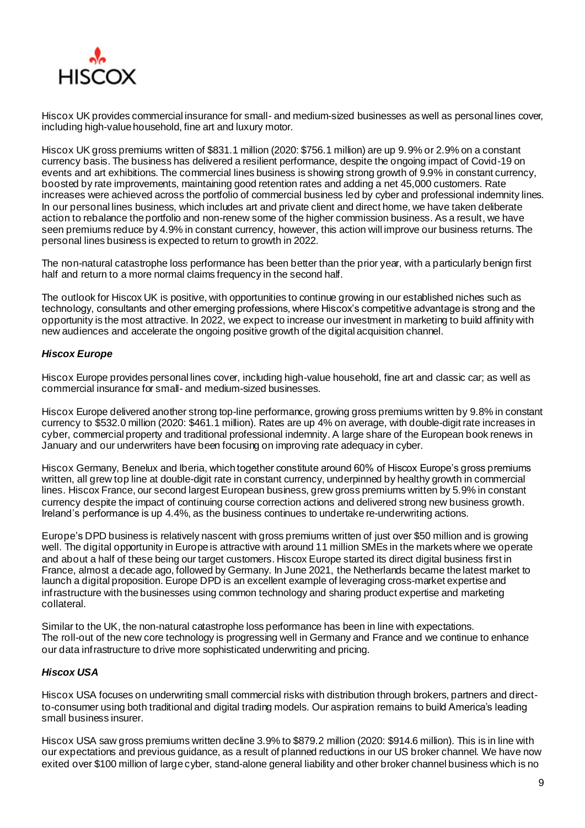

Hiscox UK provides commercial insurance for small- and medium-sized businesses as well as personal lines cover, including high-value household, fine art and luxury motor.

Hiscox UK gross premiums written of \$831.1 million (2020: \$756.1 million) are up 9.9% or 2.9% on a constant currency basis. The business has delivered a resilient performance, despite the ongoing impact of Covid-19 on events and art exhibitions. The commercial lines business is showing strong growth of 9.9% in constant currency, boosted by rate improvements, maintaining good retention rates and adding a net 45,000 customers. Rate increases were achieved across the portfolio of commercial business led by cyber and professional indemnity lines. In our personal lines business, which includes art and private client and direct home, we have taken deliberate action to rebalance the portfolio and non-renew some of the higher commission business. As a result, we have seen premiums reduce by 4.9% in constant currency, however, this action will improve our business returns. The personal lines business is expected to return to growth in 2022.

The non-natural catastrophe loss performance has been better than the prior year, with a particularly benign first half and return to a more normal claims frequency in the second half.

The outlook for Hiscox UK is positive, with opportunities to continue growing in our established niches such as technology, consultants and other emerging professions, where Hiscox's competitive advantage is strong and the opportunity is the most attractive. In 2022, we expect to increase our investment in marketing to build affinity with new audiences and accelerate the ongoing positive growth of the digital acquisition channel.

# *Hiscox Europe*

Hiscox Europe provides personal lines cover, including high-value household, fine art and classic car; as well as commercial insurance for small- and medium-sized businesses.

Hiscox Europe delivered another strong top-line performance, growing gross premiums written by 9.8% in constant currency to \$532.0 million (2020: \$461.1 million). Rates are up 4% on average, with double-digit rate increases in cyber, commercial property and traditional professional indemnity. A large share of the European book renews in January and our underwriters have been focusing on improving rate adequacy in cyber.

Hiscox Germany, Benelux and Iberia, which together constitute around 60% of Hiscox Europe's gross premiums written, all grew top line at double-digit rate in constant currency, underpinned by healthy growth in commercial lines. Hiscox France, our second largest European business, grew gross premiums written by 5.9% in constant currency despite the impact of continuing course correction actions and delivered strong new business growth. Ireland's performance is up 4.4%, as the business continues to undertake re-underwriting actions.

Europe's DPD business is relatively nascent with gross premiums written of just over \$50 million and is growing well. The digital opportunity in Europe is attractive with around 11 million SMEs in the markets where we operate and about a half of these being our target customers. Hiscox Europe started its direct digital business first in France, almost a decade ago, followed by Germany. In June 2021, the Netherlands became the latest market to launch a digital proposition. Europe DPD is an excellent example of leveraging cross-market expertise and infrastructure with the businesses using common technology and sharing product expertise and marketing collateral.

Similar to the UK, the non-natural catastrophe loss performance has been in line with expectations. The roll-out of the new core technology is progressing well in Germany and France and we continue to enhance our data infrastructure to drive more sophisticated underwriting and pricing.

# *Hiscox USA*

Hiscox USA focuses on underwriting small commercial risks with distribution through brokers, partners and directto-consumer using both traditional and digital trading models. Our aspiration remains to build America's leading small business insurer.

Hiscox USA saw gross premiums written decline 3.9% to \$879.2 million (2020: \$914.6 million). This is in line with our expectations and previous guidance, as a result of planned reductions in our US broker channel. We have now exited over \$100 million of large cyber, stand-alone general liability and other broker channel business which is no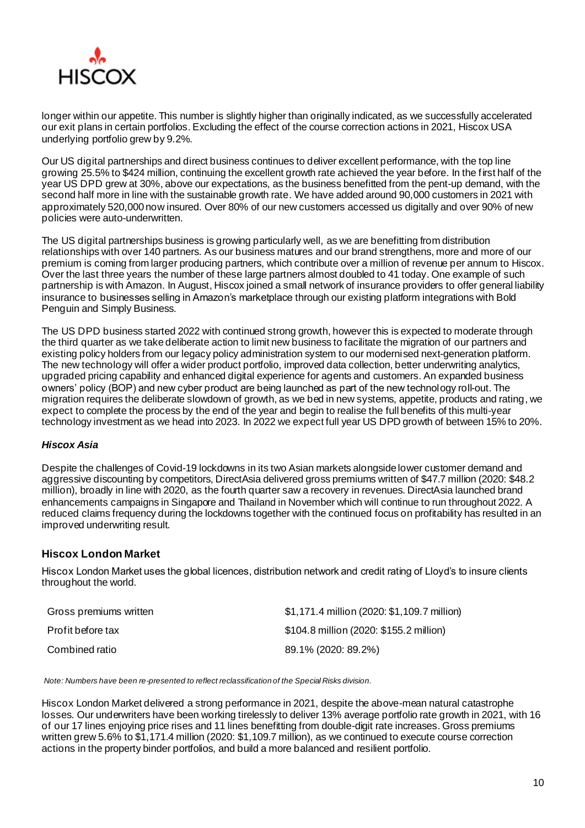

longer within our appetite. This number is slightly higher than originally indicated, as we successfully accelerated our exit plans in certain portfolios. Excluding the effect of the course correction actions in 2021, Hiscox USA underlying portfolio grew by 9.2%.

Our US digital partnerships and direct business continues to deliver excellent performance, with the top line growing 25.5% to \$424 million, continuing the excellent growth rate achieved the year before. In the first half of the year US DPD grew at 30%, above our expectations, as the business benefitted from the pent-up demand, with the second half more in line with the sustainable growth rate. We have added around 90,000 customers in 2021 with approximately 520,000 now insured. Over 80% of our new customers accessed us digitally and over 90% of new policies were auto-underwritten.

The US digital partnerships business is growing particularly well, as we are benefitting from distribution relationships with over 140 partners. As our business matures and our brand strengthens, more and more of our premium is coming from larger producing partners, which contribute over a million of revenue per annum to Hiscox. Over the last three years the number of these large partners almost doubled to 41 today. One example of such partnership is with Amazon. In August, Hiscox joined a small network of insurance providers to offer general liability insurance to businesses selling in Amazon's marketplace through our existing platform integrations with Bold Penguin and Simply Business.

The US DPD business started 2022 with continued strong growth, however this is expected to moderate through the third quarter as we take deliberate action to limit new business to facilitate the migration of our partners and existing policy holders from our legacy policy administration system to our modernised next-generation platform. The new technology will offer a wider product portfolio, improved data collection, better underwriting analytics, upgraded pricing capability and enhanced digital experience for agents and customers. An expanded business owners' policy (BOP) and new cyber product are being launched as part of the new technology roll-out. The migration requires the deliberate slowdown of growth, as we bed in new systems, appetite, products and rating, we expect to complete the process by the end of the year and begin to realise the full benefits of this multi-year technology investment as we head into 2023. In 2022 we expect full year US DPD growth of between 15% to 20%.

# *Hiscox Asia*

Despite the challenges of Covid-19 lockdowns in its two Asian markets alongside lower customer demand and aggressive discounting by competitors, DirectAsia delivered gross premiums written of \$47.7 million (2020: \$48.2 million), broadly in line with 2020, as the fourth quarter saw a recovery in revenues. DirectAsia launched brand enhancements campaigns in Singapore and Thailand in November which will continue to run throughout 2022. A reduced claims frequency during the lockdowns together with the continued focus on profitability has resulted in an improved underwriting result.

# **Hiscox London Market**

Hiscox London Market uses the global licences, distribution network and credit rating of Lloyd's to insure clients throughout the world.

| Gross premiums written | \$1,171.4 million (2020: \$1,109.7 million) |
|------------------------|---------------------------------------------|
| Profit before tax      | \$104.8 million (2020: \$155.2 million)     |
| Combined ratio         | 89.1% (2020: 89.2%)                         |

*Note: Numbers have been re-presented to reflect reclassification of the Special Risks division.*

Hiscox London Market delivered a strong performance in 2021, despite the above-mean natural catastrophe losses. Our underwriters have been working tirelessly to deliver 13% average portfolio rate growth in 2021, with 16 of our 17 lines enjoying price rises and 11 lines benefitting from double-digit rate increases. Gross premiums written grew 5.6% to \$1,171.4 million (2020: \$1,109.7 million), as we continued to execute course correction actions in the property binder portfolios, and build a more balanced and resilient portfolio.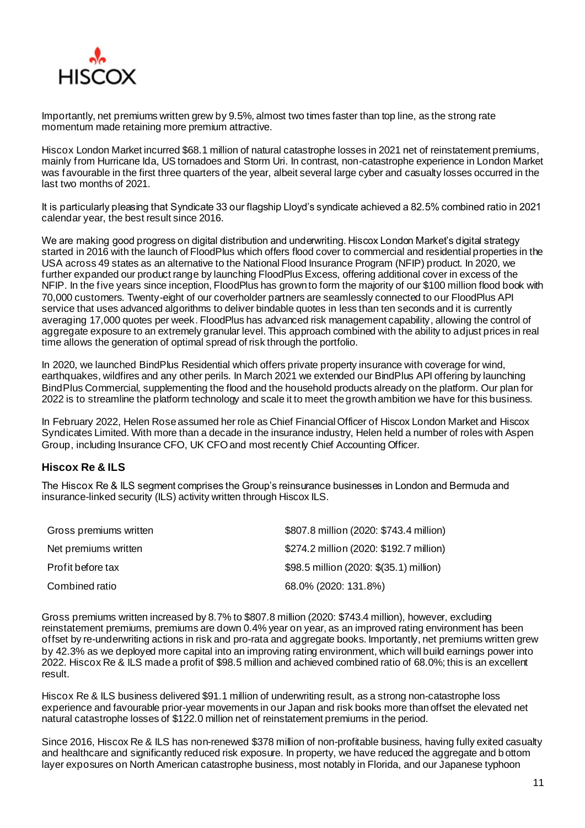

Importantly, net premiums written grew by 9.5%, almost two times faster than top line, as the strong rate momentum made retaining more premium attractive.

Hiscox London Market incurred \$68.1 million of natural catastrophe losses in 2021 net of reinstatement premiums, mainly from Hurricane Ida, US tornadoes and Storm Uri. In contrast, non-catastrophe experience in London Market was favourable in the first three quarters of the year, albeit several large cyber and casualty losses occurred in the last two months of 2021.

It is particularly pleasing that Syndicate 33 our flagship Lloyd's syndicate achieved a 82.5% combined ratio in 2021 calendar year, the best result since 2016.

We are making good progress on digital distribution and underwriting. Hiscox London Market's digital strategy started in 2016 with the launch of FloodPlus which offers flood cover to commercial and residential properties in the USA across 49 states as an alternative to the National Flood Insurance Program (NFIP) product. In 2020, we further expanded our product range by launching FloodPlus Excess, offering additional cover in excess of the NFIP. In the five years since inception, FloodPlus has grown to form the majority of our \$100 million flood book with 70,000 customers. Twenty-eight of our coverholder partners are seamlessly connected to our FloodPlus API service that uses advanced algorithms to deliver bindable quotes in less than ten seconds and it is currently averaging 17,000 quotes per week. FloodPlus has advanced risk management capability, allowing the control of aggregate exposure to an extremely granular level. This approach combined with the ability to adjust prices in real time allows the generation of optimal spread of risk through the portfolio.

In 2020, we launched BindPlus Residential which offers private property insurance with coverage for wind, earthquakes, wildfires and any other perils. In March 2021 we extended our BindPlus API offering by launching BindPlus Commercial, supplementing the flood and the household products already on the platform. Our plan for 2022 is to streamline the platform technology and scale it to meet the growth ambition we have for this business.

In February 2022, Helen Rose assumed her role as Chief Financial Officer of Hiscox London Market and Hiscox Syndicates Limited. With more than a decade in the insurance industry, Helen held a number of roles with Aspen Group, including Insurance CFO, UK CFO and most recently Chief Accounting Officer.

# **Hiscox Re & ILS**

The Hiscox Re & ILS segment comprises the Group's reinsurance businesses in London and Bermuda and insurance-linked security (ILS) activity written through Hiscox ILS.

| Gross premiums written | \$807.8 million (2020: \$743.4 million) |
|------------------------|-----------------------------------------|
| Net premiums written   | \$274.2 million (2020: \$192.7 million) |
| Profit before tax      | \$98.5 million (2020: \$(35.1) million) |
| Combined ratio         | 68.0% (2020: 131.8%)                    |

Gross premiums written increased by 8.7% to \$807.8 million (2020: \$743.4 million), however, excluding reinstatement premiums, premiums are down 0.4% year on year, as an improved rating environment has been offset by re-underwriting actions in risk and pro-rata and aggregate books. Importantly, net premiums written grew by 42.3% as we deployed more capital into an improving rating environment, which will build earnings power into 2022. Hiscox Re & ILS made a profit of \$98.5 million and achieved combined ratio of 68.0%; this is an excellent result.

Hiscox Re & ILS business delivered \$91.1 million of underwriting result, as a strong non-catastrophe loss experience and favourable prior-year movements in our Japan and risk books more than offset the elevated net natural catastrophe losses of \$122.0 million net of reinstatement premiums in the period.

Since 2016, Hiscox Re & ILS has non-renewed \$378 million of non-profitable business, having fully exited casualty and healthcare and significantly reduced risk exposure. In property, we have reduced the aggregate and b ottom layer exposures on North American catastrophe business, most notably in Florida, and our Japanese typhoon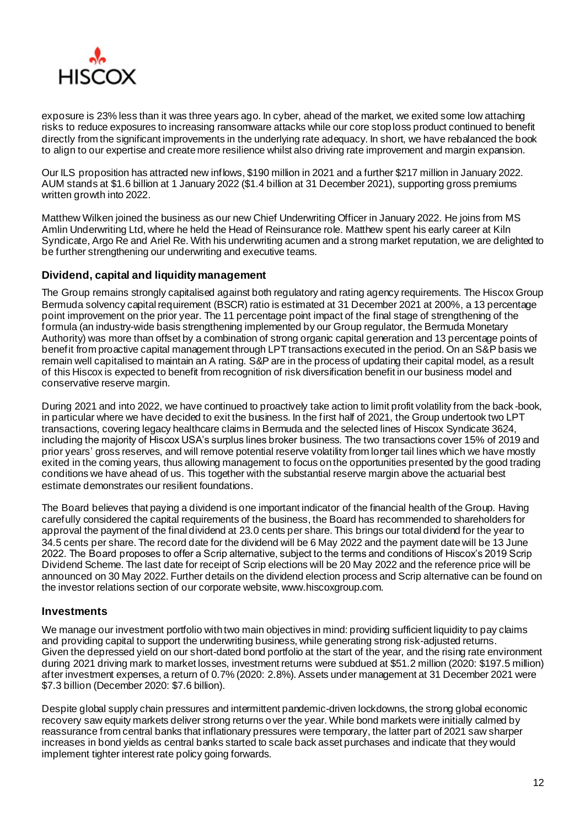

exposure is 23% less than it was three years ago. In cyber, ahead of the market, we exited some low attaching risks to reduce exposures to increasing ransomware attacks while our core stop loss product continued to benefit directly from the significant improvements in the underlying rate adequacy. In short, we have rebalanced the book to align to our expertise and create more resilience whilst also driving rate improvement and margin expansion.

Our ILS proposition has attracted new inflows, \$190 million in 2021 and a further \$217 million in January 2022. AUM stands at \$1.6 billion at 1 January 2022 (\$1.4 billion at 31 December 2021), supporting gross premiums written growth into 2022.

Matthew Wilken joined the business as our new Chief Underwriting Officer in January 2022. He joins from MS Amlin Underwriting Ltd, where he held the Head of Reinsurance role. Matthew spent his early career at Kiln Syndicate, Argo Re and Ariel Re. With his underwriting acumen and a strong market reputation, we are delighted to be further strengthening our underwriting and executive teams.

# **Dividend, capital and liquidity management**

The Group remains strongly capitalised against both regulatory and rating agency requirements. The Hiscox Group Bermuda solvency capital requirement (BSCR) ratio is estimated at 31 December 2021 at 200%, a 13 percentage point improvement on the prior year. The 11 percentage point impact of the final stage of strengthening of the formula (an industry-wide basis strengthening implemented by our Group regulator, the Bermuda Monetary Authority) was more than offset by a combination of strong organic capital generation and 13 percentage points of benefit from proactive capital management through LPT transactions executed in the period. On an S&P basis we remain well capitalised to maintain an A rating. S&P are in the process of updating their capital model, as a result of this Hiscox is expected to benefit from recognition of risk diversification benefit in our business model and conservative reserve margin.

During 2021 and into 2022, we have continued to proactively take action to limit profit volatility from the back -book, in particular where we have decided to exit the business. In the first half of 2021, the Group undertook two LPT transactions, covering legacy healthcare claims in Bermuda and the selected lines of Hiscox Syndicate 3624, including the majority of Hiscox USA's surplus lines broker business. The two transactions cover 15% of 2019 and prior years' gross reserves, and will remove potential reserve volatility from longer tail lines which we have mostly exited in the coming years, thus allowing management to focus on the opportunities presented by the good trading conditions we have ahead of us. This together with the substantial reserve margin above the actuarial best estimate demonstrates our resilient foundations.

The Board believes that paying a dividend is one important indicator of the financial health of the Group. Having carefully considered the capital requirements of the business, the Board has recommended to shareholders for approval the payment of the final dividend at 23.0 cents per share. This brings our total dividend for the year to 34.5 cents per share. The record date for the dividend will be 6 May 2022 and the payment date will be 13 June 2022. The Board proposes to offer a Scrip alternative, subject to the terms and conditions of Hiscox's 2019 Scrip Dividend Scheme. The last date for receipt of Scrip elections will be 20 May 2022 and the reference price will be announced on 30 May 2022. Further details on the dividend election process and Scrip alternative can be found on the investor relations section of our corporate website, www.hiscoxgroup.com.

# **Investments**

We manage our investment portfolio with two main objectives in mind: providing sufficient liquidity to pay claims and providing capital to support the underwriting business, while generating strong risk-adjusted returns. Given the depressed yield on our short-dated bond portfolio at the start of the year, and the rising rate environment during 2021 driving mark to market losses, investment returns were subdued at \$51.2 million (2020: \$197.5 million) after investment expenses, a return of 0.7% (2020: 2.8%). Assets under management at 31 December 2021 were \$7.3 billion (December 2020: \$7.6 billion).

Despite global supply chain pressures and intermittent pandemic-driven lockdowns, the strong global economic recovery saw equity markets deliver strong returns over the year. While bond markets were initially calmed by reassurance from central banks that inflationary pressures were temporary, the latter part of 2021 saw sharper increases in bond yields as central banks started to scale back asset purchases and indicate that they would implement tighter interest rate policy going forwards.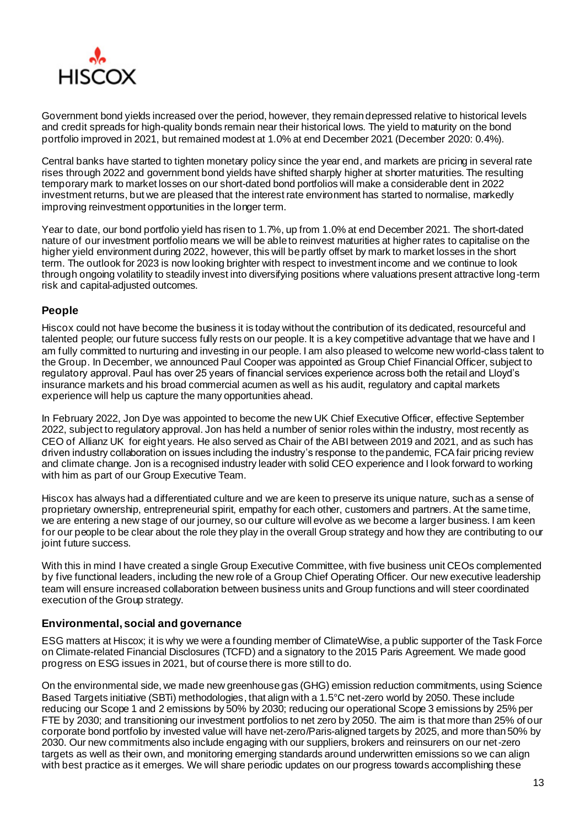

Government bond yields increased over the period, however, they remain depressed relative to historical levels and credit spreads for high-quality bonds remain near their historical lows. The yield to maturity on the bond portfolio improved in 2021, but remained modest at 1.0% at end December 2021 (December 2020: 0.4%).

Central banks have started to tighten monetary policy since the year end, and markets are pricing in several rate rises through 2022 and government bond yields have shifted sharply higher at shorter maturities. The resulting temporary mark to market losses on our short-dated bond portfolios will make a considerable dent in 2022 investment returns, but we are pleased that the interest rate environment has started to normalise, markedly improving reinvestment opportunities in the longer term.

Year to date, our bond portfolio yield has risen to 1.7%, up from 1.0% at end December 2021. The short-dated nature of our investment portfolio means we will be able to reinvest maturities at higher rates to capitalise on the higher yield environment during 2022, however, this will be partly offset by mark to market losses in the short term. The outlook for 2023 is now looking brighter with respect to investment income and we continue to look through ongoing volatility to steadily invest into diversifying positions where valuations present attractive long-term risk and capital-adjusted outcomes.

# **People**

Hiscox could not have become the business it is today without the contribution of its dedicated, resourceful and talented people; our future success fully rests on our people. It is a key competitive advantage that we have and I am fully committed to nurturing and investing in our people. I am also pleased to welcome new world-class talent to the Group. In December, we announced Paul Cooper was appointed as Group Chief Financial Officer, subject to regulatory approval. Paul has over 25 years of financial services experience across both the retail and Lloyd's insurance markets and his broad commercial acumen as well as his audit, regulatory and capital markets experience will help us capture the many opportunities ahead.

In February 2022, Jon Dye was appointed to become the new UK Chief Executive Officer, effective September 2022, subject to regulatory approval. Jon has held a number of senior roles within the industry, most recently as CEO of Allianz UK for eight years. He also served as Chair of the ABI between 2019 and 2021, and as such has driven industry collaboration on issues including the industry's response to the pandemic, FCA fair pricing review and climate change. Jon is a recognised industry leader with solid CEO experience and I look forward to working with him as part of our Group Executive Team.

Hiscox has always had a differentiated culture and we are keen to preserve its unique nature, such as a sense of proprietary ownership, entrepreneurial spirit, empathy for each other, customers and partners. At the same time, we are entering a new stage of our journey, so our culture will evolve as we become a larger business. I am keen for our people to be clear about the role they play in the overall Group strategy and how they are contributing to our joint future success.

With this in mind I have created a single Group Executive Committee, with five business unit CEOs complemented by five functional leaders, including the new role of a Group Chief Operating Officer. Our new executive leadership team will ensure increased collaboration between business units and Group functions and will steer coordinated execution of the Group strategy.

# **Environmental, social and governance**

ESG matters at Hiscox; it is why we were a founding member of ClimateWise, a public supporter of the Task Force on Climate-related Financial Disclosures (TCFD) and a signatory to the 2015 Paris Agreement. We made good progress on ESG issues in 2021, but of course there is more still to do.

On the environmental side, we made new greenhouse gas (GHG) emission reduction commitments, using Science Based Targets initiative (SBTi) methodologies, that align with a 1.5°C net-zero world by 2050. These include reducing our Scope 1 and 2 emissions by 50% by 2030; reducing our operational Scope 3 emissions by 25% per FTE by 2030; and transitioning our investment portfolios to net zero by 2050. The aim is that more than 25% of our corporate bond portfolio by invested value will have net-zero/Paris-aligned targets by 2025, and more than 50% by 2030. Our new commitments also include engaging with our suppliers, brokers and reinsurers on our net-zero targets as well as their own, and monitoring emerging standards around underwritten emissions so we can align with best practice as it emerges. We will share periodic updates on our progress towards accomplishing these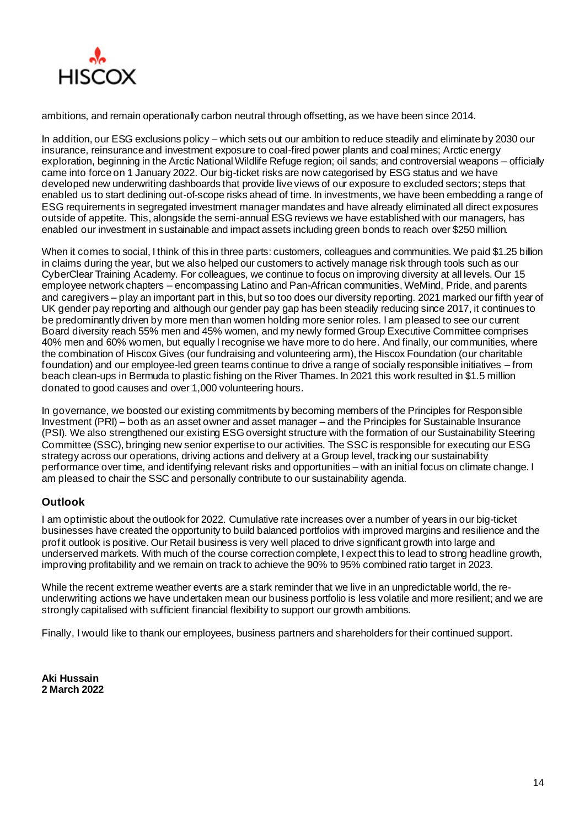

ambitions, and remain operationally carbon neutral through offsetting, as we have been since 2014.

In addition, our ESG exclusions policy – which sets out our ambition to reduce steadily and eliminate by 2030 our insurance, reinsurance and investment exposure to coal-fired power plants and coal mines; Arctic energy exploration, beginning in the Arctic National Wildlife Refuge region; oil sands; and controversial weapons – officially came into force on 1 January 2022. Our big-ticket risks are now categorised by ESG status and we have developed new underwriting dashboards that provide live views of our exposure to excluded sectors; steps that enabled us to start declining out-of-scope risks ahead of time. In investments, we have been embedding a range of ESG requirements in segregated investment manager mandates and have already eliminated all direct exposures outside of appetite. This, alongside the semi-annual ESG reviews we have established with our managers, has enabled our investment in sustainable and impact assets including green bonds to reach over \$250 million.

When it comes to social, I think of this in three parts: customers, colleagues and communities. We paid \$1.25 billion in claims during the year, but we also helped our customers to actively manage risk through tools such as our CyberClear Training Academy. For colleagues, we continue to focus on improving diversity at all levels. Our 15 employee network chapters – encompassing Latino and Pan-African communities, WeMind, Pride, and parents and caregivers – play an important part in this, but so too does our diversity reporting. 2021 marked our fifth year of UK gender pay reporting and although our gender pay gap has been steadily reducing since 2017, it continues to be predominantly driven by more men than women holding more senior roles. I am pleased to see our current Board diversity reach 55% men and 45% women, and my newly formed Group Executive Committee comprises 40% men and 60% women, but equally I recognise we have more to do here. And finally, our communities, where the combination of Hiscox Gives (our fundraising and volunteering arm), the Hiscox Foundation (our charitable foundation) and our employee-led green teams continue to drive a range of socially responsible initiatives – from beach clean-ups in Bermuda to plastic fishing on the River Thames. In 2021 this work resulted in \$1.5 million donated to good causes and over 1,000 volunteering hours.

In governance, we boosted our existing commitments by becoming members of the Principles for Responsible Investment (PRI) – both as an asset owner and asset manager – and the Principles for Sustainable Insurance (PSI). We also strengthened our existing ESG oversight structure with the formation of our Sustainability Steering Committee (SSC), bringing new senior expertise to our activities. The SSC is responsible for executing our ESG strategy across our operations, driving actions and delivery at a Group level, tracking our sustainability performance over time, and identifying relevant risks and opportunities – with an initial focus on climate change. I am pleased to chair the SSC and personally contribute to our sustainability agenda.

# **Outlook**

I am optimistic about the outlook for 2022. Cumulative rate increases over a number of years in our big-ticket businesses have created the opportunity to build balanced portfolios with improved margins and resilience and the profit outlook is positive. Our Retail business is very well placed to drive significant growth into large and underserved markets. With much of the course correction complete, I expect this to lead to strong headline growth, improving profitability and we remain on track to achieve the 90% to 95% combined ratio target in 2023.

While the recent extreme weather events are a stark reminder that we live in an unpredictable world, the reunderwriting actions we have undertaken mean our business portfolio is less volatile and more resilient; and we are strongly capitalised with sufficient financial flexibility to support our growth ambitions.

Finally, I would like to thank our employees, business partners and shareholders for their continued support.

**Aki Hussain 2 March 2022**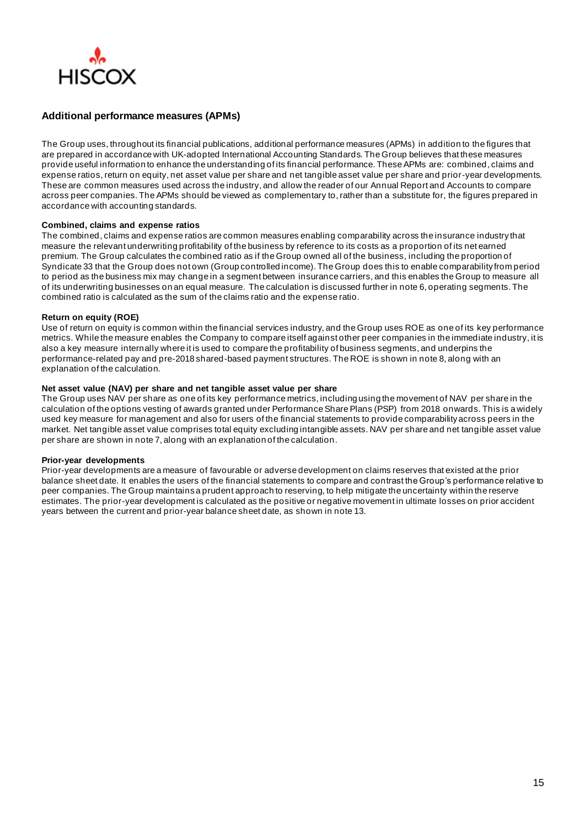

# **Additional performance measures (APMs)**

The Group uses, throughout its financial publications, additional performance measures (APMs) in addition to the figures that are prepared in accordance with UK-adopted International Accounting Standards. The Group believes that these measures provide useful information to enhance the understanding of its financial performance. These APMs are: combined, claims and expense ratios, return on equity, net asset value per share and net tangible asset value per share and prior-year developments. These are common measures used across the industry, and allow the reader of our Annual Report and Accounts to compare across peer companies. The APMs should be viewed as complementary to, rather than a substitute for, the figures prepared in accordance with accounting standards.

#### **Combined, claims and expense ratios**

The combined, claims and expense ratios are common measures enabling comparability across the insurance industry that measure the relevant underwriting profitability of the business by reference to its costs as a proportion of its net earned premium. The Group calculates the combined ratio as if the Group owned all of the business, including the proportion of Syndicate 33 that the Group does not own (Group controlled income). The Group does this to enable comparability from period to period as the business mix may change in a segment between insurance carriers, and this enables the Group to measure all of its underwriting businesses on an equal measure. The calculation is discussed further in note 6, operating segments. The combined ratio is calculated as the sum of the claims ratio and the expense ratio.

#### **Return on equity (ROE)**

Use of return on equity is common within the financial services industry, and the Group uses ROE as one of its key performance metrics. While the measure enables the Company to compare itself against other peer companies in the immediate industry, it is also a key measure internally where it is used to compare the profitability of business segments, and underpins the performance-related pay and pre-2018 shared-based payment structures. The ROE is shown in note 8, along with an explanation of the calculation.

#### **Net asset value (NAV) per share and net tangible asset value per share**

The Group uses NAV per share as one of its key performance metrics, including using the movement of NAV per share in the calculation of the options vesting of awards granted under Performance Share Plans (PSP) from 2018 onwards. This is a widely used key measure for management and also for users of the financial statements to provide comparability across peers in the market. Net tangible asset value comprises total equity excluding intangible assets. NAV per share and net tangible asset value per share are shown in note 7, along with an explanation of the calculation.

#### **Prior-year developments**

Prior-year developments are a measure of favourable or adverse development on claims reserves that existed at the prior balance sheet date. It enables the users of the financial statements to compare and contrast the Group's performance relative to peer companies. The Group maintains a prudent approach to reserving, to help mitigate the uncertainty within the reserve estimates. The prior-year development is calculated as the positive or negative movement in ultimate losses on prior accident years between the current and prior-year balance sheet date, as shown in note 13.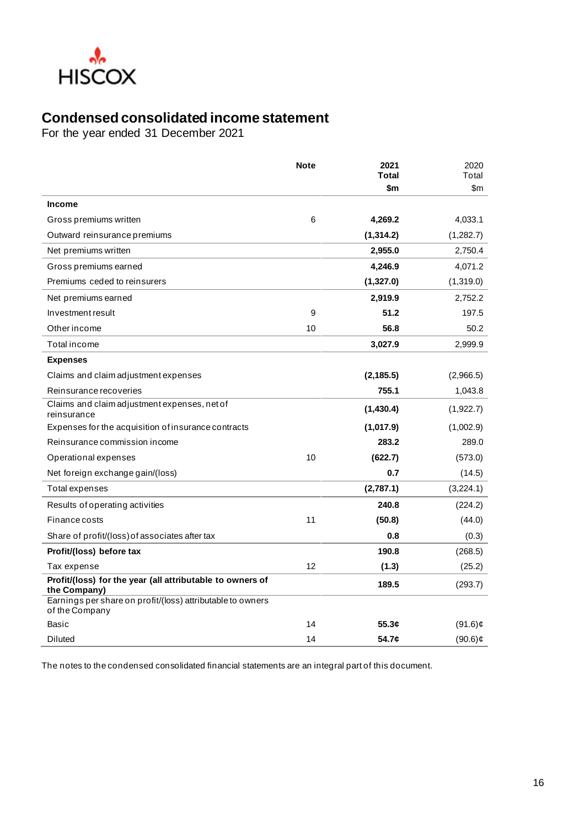

# **Condensed consolidated income statement**

For the year ended 31 December 2021

|                                                                              | <b>Note</b> | 2021<br>Total | 2020<br>Total |
|------------------------------------------------------------------------------|-------------|---------------|---------------|
|                                                                              |             | \$m           | \$m           |
| <b>Income</b>                                                                |             |               |               |
| Gross premiums written                                                       | 6           | 4,269.2       | 4,033.1       |
| Outward reinsurance premiums                                                 |             | (1, 314.2)    | (1,282.7)     |
| Net premiums written                                                         |             | 2,955.0       | 2.750.4       |
| Gross premiums earned                                                        |             | 4,246.9       | 4,071.2       |
| Premiums ceded to reinsurers                                                 |             | (1,327.0)     | (1,319.0)     |
| Net premiums earned                                                          |             | 2,919.9       | 2,752.2       |
| Investment result                                                            | 9           | 51.2          | 197.5         |
| Other income                                                                 | 10          | 56.8          | 50.2          |
| Total income                                                                 |             | 3,027.9       | 2.999.9       |
| <b>Expenses</b>                                                              |             |               |               |
| Claims and claim adjustment expenses                                         |             | (2, 185.5)    | (2,966.5)     |
| Reinsurance recoveries                                                       |             | 755.1         | 1,043.8       |
| Claims and claim adjustment expenses, net of<br>reinsurance                  |             | (1,430.4)     | (1,922.7)     |
| Expenses for the acquisition of insurance contracts                          |             | (1,017.9)     | (1,002.9)     |
| Reinsurance commission income                                                |             | 283.2         | 289.0         |
| Operational expenses                                                         | 10          | (622.7)       | (573.0)       |
| Net foreign exchange gain/(loss)                                             |             | 0.7           | (14.5)        |
| Total expenses                                                               |             | (2,787.1)     | (3,224.1)     |
| Results of operating activities                                              |             | 240.8         | (224.2)       |
| Finance costs                                                                | 11          | (50.8)        | (44.0)        |
| Share of profit/(loss) of associates after tax                               |             | 0.8           | (0.3)         |
| Profit/(loss) before tax                                                     |             | 190.8         | (268.5)       |
| Tax expense                                                                  | 12          | (1.3)         | (25.2)        |
| Profit/(loss) for the year (all attributable to owners of<br>the Company)    |             | 189.5         | (293.7)       |
| Earnings per share on profit/(loss) attributable to owners<br>of the Company |             |               |               |
| Basic                                                                        | 14          | 55.3c         | $(91.6)$ ¢    |
| <b>Diluted</b>                                                               | 14          | 54.7¢         | $(90.6)$ ¢    |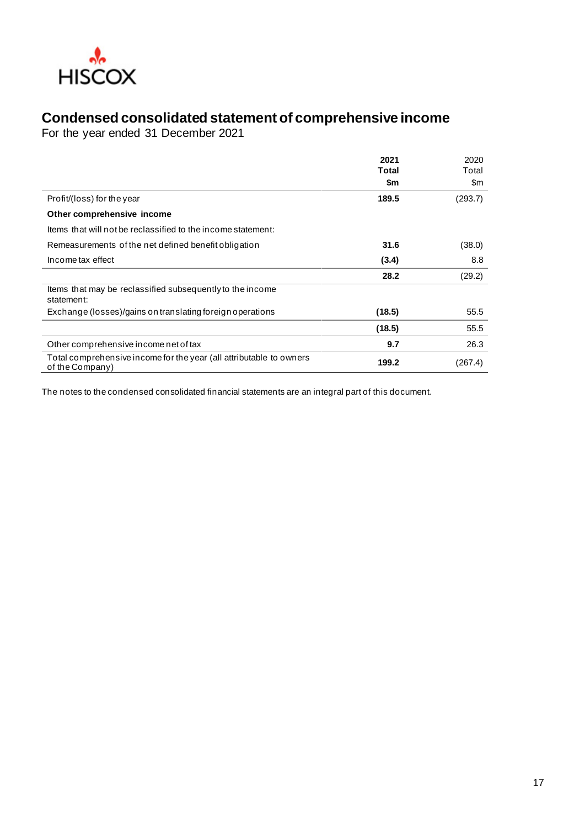

# **Condensed consolidated statement of comprehensive income**

For the year ended 31 December 2021

|                                                                                        | 2021<br><b>Total</b><br>\$m | 2020<br>Total<br>$\mathsf{Sm}$ |
|----------------------------------------------------------------------------------------|-----------------------------|--------------------------------|
| Profit/(loss) for the year                                                             | 189.5                       | (293.7)                        |
| Other comprehensive income                                                             |                             |                                |
| thems that will not be reclassified to the income statement:                           |                             |                                |
| Remeasurements of the net defined benefit obligation                                   | 31.6                        | (38.0)                         |
| Income tax effect                                                                      | (3.4)                       | 8.8                            |
|                                                                                        | 28.2                        | (29.2)                         |
| Items that may be reclassified subsequently to the income<br>statement:                |                             |                                |
| Exchange (losses)/gains on translating foreign operations                              | (18.5)                      | 55.5                           |
|                                                                                        | (18.5)                      | 55.5                           |
| Other comprehensive income net of tax                                                  | 9.7                         | 26.3                           |
| Total comprehensive income for the year (all attributable to owners<br>of the Company) | 199.2                       | (267.4)                        |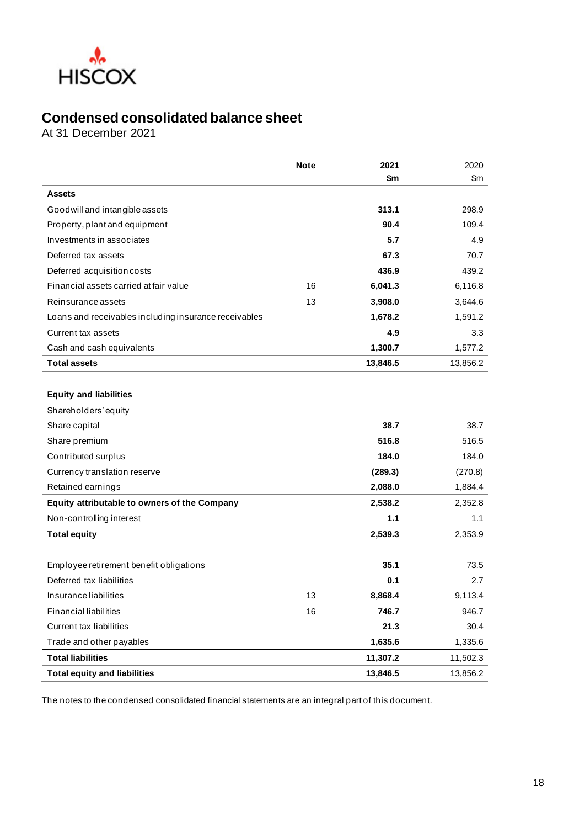

# **Condensed consolidated balance sheet**

At 31 December 2021

|                                                       | <b>Note</b> | 2021<br>\$m | 2020<br>\$m |
|-------------------------------------------------------|-------------|-------------|-------------|
| <b>Assets</b>                                         |             |             |             |
| Goodwill and intangible assets                        |             | 313.1       | 298.9       |
| Property, plant and equipment                         |             | 90.4        | 109.4       |
| Investments in associates                             |             | 5.7         | 4.9         |
| Deferred tax assets                                   |             | 67.3        | 70.7        |
| Deferred acquisition costs                            |             | 436.9       | 439.2       |
| Financial assets carried at fair value                | 16          | 6,041.3     | 6,116.8     |
| Reinsurance assets                                    | 13          | 3,908.0     | 3,644.6     |
| Loans and receivables including insurance receivables |             | 1,678.2     | 1,591.2     |
| Current tax assets                                    |             | 4.9         | 3.3         |
| Cash and cash equivalents                             |             | 1,300.7     | 1,577.2     |
| <b>Total assets</b>                                   |             | 13,846.5    | 13,856.2    |
| <b>Equity and liabilities</b><br>Shareholders' equity |             |             |             |
| Share capital                                         |             | 38.7        | 38.7        |
| Share premium                                         |             | 516.8       | 516.5       |
| Contributed surplus                                   |             | 184.0       | 184.0       |
| Currency translation reserve                          |             | (289.3)     | (270.8)     |
| Retained earnings                                     |             | 2,088.0     | 1,884.4     |
| Equity attributable to owners of the Company          |             | 2,538.2     | 2,352.8     |
| Non-controlling interest                              |             | 1.1         | 1.1         |
| <b>Total equity</b>                                   |             | 2,539.3     | 2,353.9     |
| Employee retirement benefit obligations               |             | 35.1        | 73.5        |
| Deferred tax liabilities                              |             | 0.1         | 2.7         |
| Insurance liabilities                                 | 13          | 8,868.4     | 9,113.4     |
| <b>Financial liabilities</b>                          | 16          | 746.7       | 946.7       |
| <b>Current tax liabilities</b>                        |             | 21.3        | 30.4        |
| Trade and other payables                              |             | 1,635.6     | 1,335.6     |
| <b>Total liabilities</b>                              |             | 11,307.2    | 11,502.3    |
| <b>Total equity and liabilities</b>                   |             | 13,846.5    | 13,856.2    |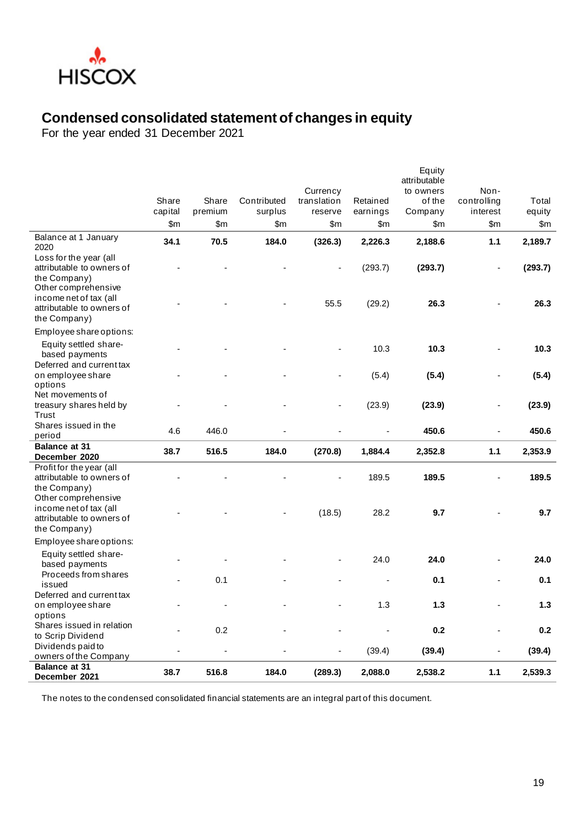

# **Condensed consolidated statement of changes in equity**

For the year ended 31 December 2021

|                                                                                            |         |         |             |                          |          | Equity<br>attributable |                          |         |
|--------------------------------------------------------------------------------------------|---------|---------|-------------|--------------------------|----------|------------------------|--------------------------|---------|
|                                                                                            | Share   | Share   | Contributed | Currency<br>translation  | Retained | to owners<br>of the    | Non-<br>controlling      | Total   |
|                                                                                            | capital | premium | surplus     | reserve                  | earnings | Company                | interest                 | equity  |
|                                                                                            | \$m     | \$m     | \$m         | \$m                      | \$m      | \$m                    | \$m                      | \$m     |
| Balance at 1 January<br>2020                                                               | 34.1    | 70.5    | 184.0       | (326.3)                  | 2,226.3  | 2,188.6                | 1.1                      | 2,189.7 |
| Loss for the year (all<br>attributable to owners of<br>the Company)                        |         |         |             |                          | (293.7)  | (293.7)                |                          | (293.7) |
| Other comprehensive<br>income net of tax (all<br>attributable to owners of<br>the Company) |         |         |             | 55.5                     | (29.2)   | 26.3                   |                          | 26.3    |
| Employee share options:                                                                    |         |         |             |                          |          |                        |                          |         |
| Equity settled share-<br>based payments                                                    |         |         |             |                          | 10.3     | 10.3                   |                          | 10.3    |
| Deferred and current tax<br>on employee share<br>options                                   |         |         |             |                          | (5.4)    | (5.4)                  |                          | (5.4)   |
| Net movements of<br>treasury shares held by<br>Trust                                       |         |         |             |                          | (23.9)   | (23.9)                 | $\overline{\phantom{a}}$ | (23.9)  |
| Shares issued in the<br>period                                                             | 4.6     | 446.0   |             |                          |          | 450.6                  | Ĭ.                       | 450.6   |
| <b>Balance at 31</b><br>December 2020                                                      | 38.7    | 516.5   | 184.0       | (270.8)                  | 1,884.4  | 2,352.8                | 1.1                      | 2,353.9 |
| Profit for the year (all<br>attributable to owners of<br>the Company)                      |         |         |             |                          | 189.5    | 189.5                  |                          | 189.5   |
| Other comprehensive<br>income net of tax (all<br>attributable to owners of<br>the Company) |         |         |             | (18.5)                   | 28.2     | 9.7                    |                          | 9.7     |
| Employee share options:                                                                    |         |         |             |                          |          |                        |                          |         |
| Equity settled share-<br>based payments                                                    |         |         |             |                          | 24.0     | 24.0                   |                          | 24.0    |
| Proceeds from shares<br>issued                                                             |         | 0.1     |             |                          |          | 0.1                    |                          | 0.1     |
| Deferred and current tax<br>on employee share<br>options                                   |         |         |             |                          | 1.3      | 1.3                    |                          | 1.3     |
| Shares issued in relation<br>to Scrip Dividend                                             |         | 0.2     |             |                          |          | 0.2                    | ä,                       | 0.2     |
| Dividends paid to<br>owners of the Company                                                 |         |         |             | $\overline{\phantom{m}}$ | (39.4)   | (39.4)                 | ÷                        | (39.4)  |
| <b>Balance at 31</b><br>December 2021                                                      | 38.7    | 516.8   | 184.0       | (289.3)                  | 2,088.0  | 2,538.2                | 1.1                      | 2,539.3 |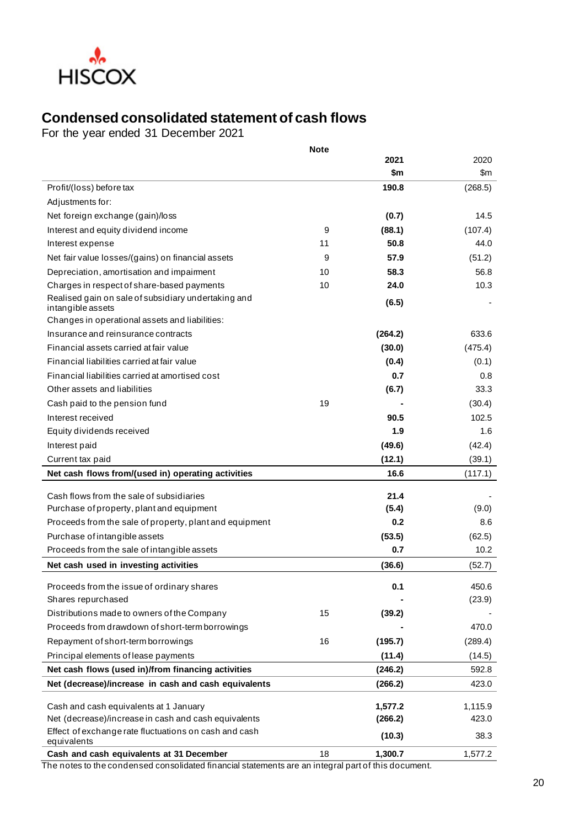

# **Condensed consolidated statement of cash flows**

For the year ended 31 December 2021

|                                                                                                | <b>Note</b> |                    |                   |
|------------------------------------------------------------------------------------------------|-------------|--------------------|-------------------|
|                                                                                                |             | 2021               | 2020              |
|                                                                                                |             | \$m                | \$m               |
| Profit/(loss) before tax                                                                       |             | 190.8              | (268.5)           |
| Adjustments for:                                                                               |             |                    |                   |
| Net foreign exchange (gain)/loss                                                               |             | (0.7)              | 14.5              |
| Interest and equity dividend income                                                            | 9           | (88.1)             | (107.4)           |
| Interest expense                                                                               | 11          | 50.8               | 44.0              |
| Net fair value losses/(gains) on financial assets                                              | 9           | 57.9               | (51.2)            |
| Depreciation, amortisation and impairment                                                      | 10          | 58.3               | 56.8              |
| Charges in respect of share-based payments                                                     | 10          | 24.0               | 10.3              |
| Realised gain on sale of subsidiary undertaking and<br>intangible assets                       |             | (6.5)              |                   |
| Changes in operational assets and liabilities:                                                 |             |                    |                   |
| Insurance and reinsurance contracts                                                            |             | (264.2)            | 633.6             |
| Financial assets carried at fair value                                                         |             | (30.0)             | (475.4)           |
| Financial liabilities carried at fair value                                                    |             | (0.4)              | (0.1)             |
| Financial liabilities carried at amortised cost                                                |             | 0.7                | 0.8               |
| Other assets and liabilities                                                                   |             | (6.7)              | 33.3              |
| Cash paid to the pension fund                                                                  | 19          |                    | (30.4)            |
| Interest received                                                                              |             | 90.5               | 102.5             |
| Equity dividends received                                                                      |             | 1.9                | 1.6               |
| Interest paid                                                                                  |             | (49.6)             | (42.4)            |
| Current tax paid                                                                               |             | (12.1)             | (39.1)            |
| Net cash flows from/(used in) operating activities                                             |             | 16.6               | (117.1)           |
| Cash flows from the sale of subsidiaries                                                       |             | 21.4               |                   |
| Purchase of property, plant and equipment                                                      |             | (5.4)              | (9.0)             |
| Proceeds from the sale of property, plant and equipment                                        |             | 0.2                | 8.6               |
| Purchase of intangible assets                                                                  |             | (53.5)             | (62.5)            |
| Proceeds from the sale of intangible assets                                                    |             | 0.7                | 10.2 <sub>1</sub> |
| Net cash used in investing activities                                                          |             | (36.6)             | (52.7)            |
|                                                                                                |             |                    |                   |
| Proceeds from the issue of ordinary shares                                                     |             | 0.1                | 450.6             |
| Shares repurchased                                                                             |             |                    | (23.9)            |
| Distributions made to owners of the Company                                                    | 15          | (39.2)             |                   |
| Proceeds from drawdown of short-term borrowings                                                |             |                    | 470.0             |
| Repayment of short-term borrowings                                                             | 16          | (195.7)            | (289.4)           |
| Principal elements of lease payments                                                           |             | (11.4)             | (14.5)            |
| Net cash flows (used in)/from financing activities                                             |             | (246.2)            | 592.8             |
| Net (decrease)/increase in cash and cash equivalents                                           |             | (266.2)            | 423.0             |
|                                                                                                |             |                    |                   |
| Cash and cash equivalents at 1 January<br>Net (decrease)/increase in cash and cash equivalents |             | 1,577.2<br>(266.2) | 1,115.9<br>423.0  |
| Effect of exchange rate fluctuations on cash and cash                                          |             |                    |                   |
| equivalents                                                                                    |             | (10.3)             | 38.3              |
| Cash and cash equivalents at 31 December                                                       | 18          | 1,300.7            | 1,577.2           |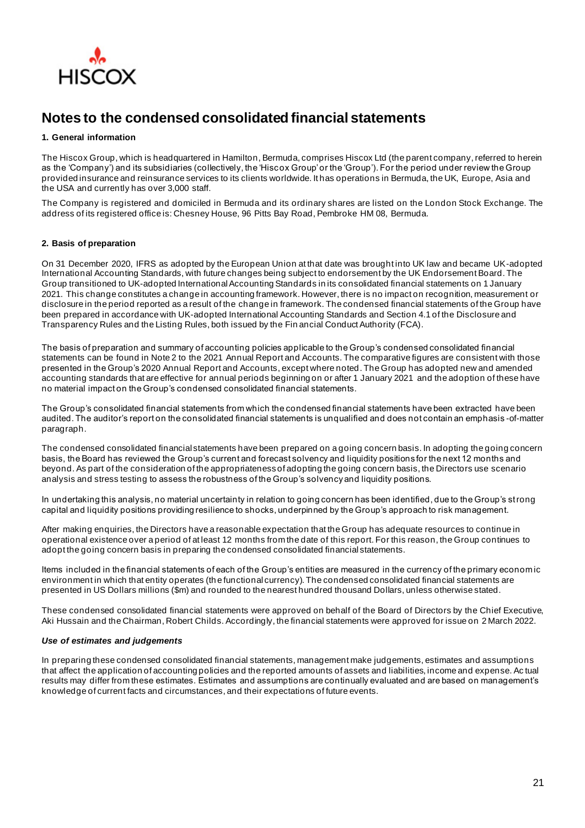

# **Notes to the condensed consolidated financial statements**

#### **1. General information**

The Hiscox Group, which is headquartered in Hamilton, Bermuda, comprises Hiscox Ltd (the parent company, referred to herein as the 'Company') and its subsidiaries (collectively, the 'Hiscox Group' or the 'Group'). For the period under review the Group provided insurance and reinsurance services to its clients worldwide. It has operations in Bermuda, the UK, Europe, Asia and the USA and currently has over 3,000 staff.

The Company is registered and domiciled in Bermuda and its ordinary shares are listed on the London Stock Exchange. The address of its registered office is: Chesney House, 96 Pitts Bay Road, Pembroke HM 08, Bermuda.

#### **2. Basis of preparation**

On 31 December 2020, IFRS as adopted by the European Union at that date was brought into UK law and became UK-adopted International Accounting Standards, with future changes being subject to endorsement by the UK Endorsement Board. The Group transitioned to UK-adopted International Accounting Standards in its consolidated financial statements on 1 January 2021. This change constitutes a change in accounting framework. However, there is no impact on recognition, measurement or disclosure in the period reported as a result of the change in framework. The condensed financial statements of the Group have been prepared in accordance with UK-adopted International Accounting Standards and Section 4.1 of the Disclosure and Transparency Rules and the Listing Rules, both issued by the Fin ancial Conduct Authority (FCA).

The basis of preparation and summary of accounting policies applicable to the Group's condensed consolidated financial statements can be found in Note 2 to the 2021 Annual Report and Accounts. The comparative figures are consistent with those presented in the Group's 2020 Annual Report and Accounts, except where noted. The Group has adopted new and amended accounting standards that are effective for annual periods beginning on or after 1 January 2021 and the adoption of these have no material impact on the Group's condensed consolidated financial statements.

The Group's consolidated financial statements from which the condensed financial statements have been extracted have been audited. The auditor's report on the consolidated financial statements is unqualified and does not contain an emphasis -of-matter paragraph.

The condensed consolidated financial statements have been prepared on a going concern basis. In adopting the going concern basis, the Board has reviewed the Group's current and forecast solvency and liquidity positions for the next 12 months and beyond. As part of the consideration of the appropriateness of adopting the going concern basis, the Directors use scenario analysis and stress testing to assess the robustness of the Group's solvency and liquidity positions.

In undertaking this analysis, no material uncertainty in relation to going concern has been identified, due to the Group's strong capital and liquidity positions providing resilience to shocks, underpinned by the Group's approach to risk management.

After making enquiries, the Directors have a reasonable expectation that the Group has adequate resources to continue in operational existence over a period of at least 12 months from the date of this report. For this reason, the Group continues to adopt the going concern basis in preparing the condensed consolidated financial statements.

Items included in the financial statements of each of the Group's entities are measured in the currency of the primary economic environment in which that entity operates (the functional currency). The condensed consolidated financial statements are presented in US Dollars millions (\$m) and rounded to the nearest hundred thousand Dollars, unless otherwise stated.

These condensed consolidated financial statements were approved on behalf of the Board of Directors by the Chief Executive, Aki Hussain and the Chairman, Robert Childs. Accordingly, the financial statements were approved for issue on 2 March 2022.

## *Use of estimates and judgements*

In preparing these condensed consolidated financial statements, management make judgements, estimates and assumptions that affect the application of accounting policies and the reported amounts of assets and liabilities, income and expense. Ac tual results may differ from these estimates. Estimates and assumptions are continually evaluated and are based on management's knowledge of current facts and circumstances, and their expectations of future events.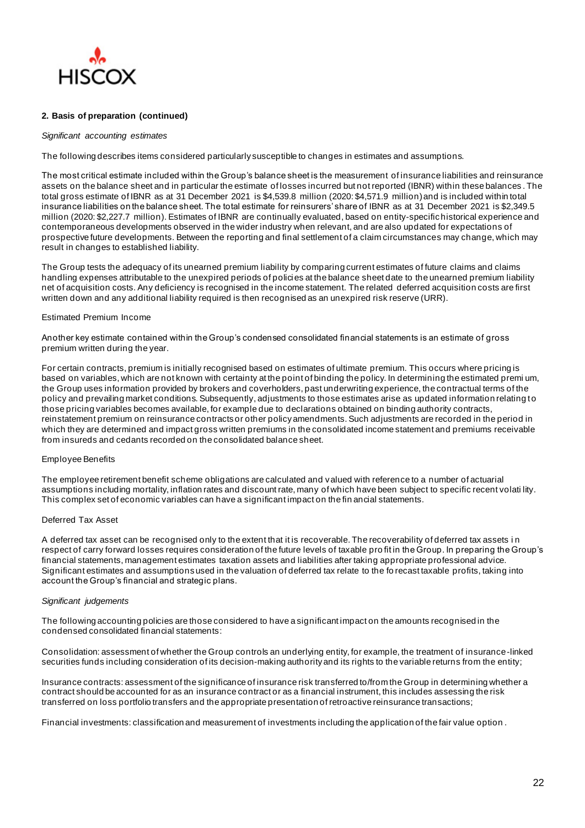

#### **2. Basis of preparation (continued)**

#### *Significant accounting estimates*

The following describes items considered particularly susceptible to changes in estimates and assumptions.

The most critical estimate included within the Group's balance sheet is the measurement of insurance liabilities and reinsurance assets on the balance sheet and in particular the estimate of losses incurred but not reported (IBNR) within these balances . The total gross estimate of IBNR as at 31 December 2021 is \$4,539.8 million (2020: \$4,571.9 million) and is included within total insurance liabilities on the balance sheet. The total estimate for reinsurers' share of IBNR as at 31 December 2021 is \$2,349.5 million (2020: \$2,227.7 million). Estimates of IBNR are continually evaluated, based on entity-specific historical experience and contemporaneous developments observed in the wider industry when relevant, and are also updated for expectations of prospective future developments. Between the reporting and final settlement of a claim circumstances may change, which may result in changes to established liability.

The Group tests the adequacy of its unearned premium liability by comparing current estimates of future claims and claims handling expenses attributable to the unexpired periods of policies at the balance sheet date to the unearned premium liability net of acquisition costs. Any deficiency is recognised in the income statement. The related deferred acquisition costs are first written down and any additional liability required is then recognised as an unexpired risk reserve (URR).

#### Estimated Premium Income

Another key estimate contained within the Group's condensed consolidated financial statements is an estimate of gross premium written during the year.

For certain contracts, premium is initially recognised based on estimates of ultimate premium. This occurs where pricing is based on variables, which are not known with certainty at the point of binding the policy. In determining the estimated premi um, the Group uses information provided by brokers and coverholders, past underwriting experience, the contractual terms of the policy and prevailing market conditions. Subsequently, adjustments to those estimates arise as updated information relating to those pricing variables becomes available, for example due to declarations obtained on binding authority contracts, reinstatement premium on reinsurance contracts or other policy amendments. Such adjustments are recorded in the period in which they are determined and impact gross written premiums in the consolidated income statement and premiums receivable from insureds and cedants recorded on the consolidated balance sheet.

#### Employee Benefits

The employee retirement benefit scheme obligations are calculated and valued with reference to a number of actuarial assumptions including mortality, inflation rates and discount rate, many of which have been subject to specific recent volati lity. This complex set of economic variables can have a significant impact on the fin ancial statements.

#### Deferred Tax Asset

A deferred tax asset can be recognised only to the extent that it is recoverable. The recoverability of deferred tax assets i n respect of carry forward losses requires consideration of the future levels of taxable pro fit in the Group. In preparing the Group's financial statements, management estimates taxation assets and liabilities after taking appropriate professional advice. Significant estimates and assumptions used in the valuation of deferred tax relate to the fo recast taxable profits, taking into account the Group's financial and strategic plans.

#### *Significant judgements*

The following accounting policies are those considered to have a significant impact on the amounts recognised in the condensed consolidated financial statements:

Consolidation: assessment of whether the Group controls an underlying entity, for example, the treatment of insurance-linked securities funds including consideration of its decision-making authority and its rights to the variable returns from the entity;

Insurance contracts: assessment of the significance of insurance risk transferred to/from the Group in determining whether a contract should be accounted for as an insurance contract or as a financial instrument, this includes assessing the risk transferred on loss portfolio transfers and the appropriate presentation of retroactive reinsurance transactions;

Financial investments: classification and measurement of investments including the application of the fair value option .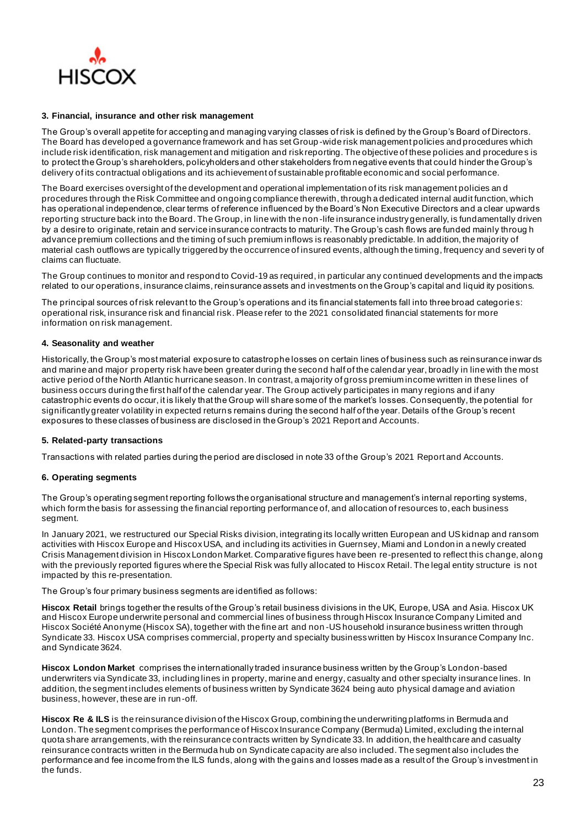

#### **3. Financial, insurance and other risk management**

The Group's overall appetite for accepting and managing varying classes of risk is defined by the Group's Board of Directors. The Board has developed a governance framework and has set Group -wide risk management policies and procedures which include risk identification, risk management and mitigation and risk reporting. The objective of these policies and procedures is to protect the Group's shareholders, policyholders and other stakeholders from negative events that could hinder the Group's delivery of its contractual obligations and its achievement of sustainable profitable economic and social performance.

The Board exercises oversight of the development and operational implementation of its risk management policies an d procedures through the Risk Committee and ongoing compliance therewith, through a dedicated internal audit function, which has operational independence, clear terms of reference influenced by the Board's Non Executive Directors and a clear upwards reporting structure back into the Board. The Group, in line with the non -life insurance industry generally, is fundamentally driven by a desire to originate, retain and service insurance contracts to maturity. The Group's cash flows are funded mainly throug h advance premium collections and the timing of such premium inflows is reasonably predictable. In addition, the majority of material cash outflows are typically triggered by the occurrence of insured events, although the timing, frequency and severi ty of claims can fluctuate.

The Group continues to monitor and respond to Covid-19 as required, in particular any continued developments and the impacts related to our operations, insurance claims, reinsurance assets and investments on the Group's capital and liquid ity positions.

The principal sources of risk relevant to the Group's operations and its financial statements fall into three broad categories: operational risk, insurance risk and financial risk. Please refer to the 2021 consolidated financial statements for more information on risk management.

#### **4. Seasonality and weather**

Historically, the Group's most material exposure to catastrophe losses on certain lines of business such as reinsurance inwar ds and marine and major property risk have been greater during the second half of the calendar year, broadly in line with the most active period of the North Atlantic hurricane season. In contrast, a majority of gross premium income written in these lines of business occurs during the first half of the calendar year. The Group actively participates in many regions and if any catastrophic events do occur, it is likely that the Group will share some of the market's losses. Consequently, the potential for significantly greater volatility in expected returns remains during the second half of the year. Details of the Group's recent exposures to these classes of business are disclosed in the Group's 2021 Report and Accounts.

#### **5. Related-party transactions**

Transactions with related parties during the period are disclosed in note 33 of the Group's 2021 Report and Accounts.

#### **6. Operating segments**

The Group's operating segment reporting follows the organisational structure and management's internal reporting systems, which form the basis for assessing the financial reporting performance of, and allocation of resources to, each business segment.

In January 2021, we restructured our Special Risks division, integrating its locally written European and US kidnap and ransom activities with Hiscox Europe and Hiscox USA, and including its activities in Guernsey, Miami and London in a newly created Crisis Management division in Hiscox London Market. Comparative figures have been re-presented to reflect this change, along with the previously reported figures where the Special Risk was fully allocated to Hiscox Retail. The legal entity structure is not impacted by this re-presentation.

The Group's four primary business segments are identified as follows:

**Hiscox Retail** brings together the results of the Group's retail business divisions in the UK, Europe, USA and Asia. Hiscox UK and Hiscox Europe underwrite personal and commercial lines of business through Hiscox Insurance Company Limited and Hiscox Société Anonyme (Hiscox SA), together with the fine art and non -US household insurance business written through Syndicate 33. Hiscox USA comprises commercial, property and specialty business written by Hiscox Insurance Company Inc. and Syndicate 3624.

**Hiscox London Market** comprises the internationally traded insurance business written by the Group's London-based underwriters via Syndicate 33, including lines in property, marine and energy, casualty and other specialty insurance lines. In addition, the segment includes elements of business written by Syndicate 3624 being auto physical damage and aviation business, however, these are in run-off.

**Hiscox Re & ILS** is the reinsurance division of the Hiscox Group, combining the underwriting platforms in Bermuda and London. The segment comprises the performance of Hiscox Insurance Company (Bermuda) Limited, excluding the internal quota share arrangements, with the reinsurance contracts written by Syndicate 33. In addition, the healthcare and casualty reinsurance contracts written in the Bermuda hub on Syndicate capacity are also included. The segment also includes the performance and fee income from the ILS funds, along with the gains and losses made as a result of the Group's investment in the funds.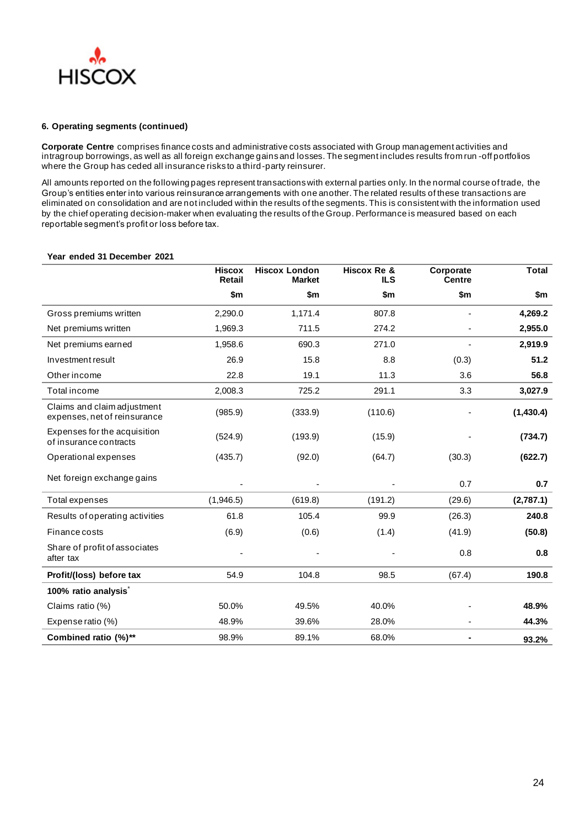

**Corporate Centre** comprises finance costs and administrative costs associated with Group management activities and intragroup borrowings, as well as all foreign exchange gains and losses. The segment includes results from run -off portfolios where the Group has ceded all insurance risks to a third-party reinsurer.

All amounts reported on the following pages represent transactions with external parties only. In the normal course of trade, the Group's entities enter into various reinsurance arrangements with one another. The related results of these transactions are eliminated on consolidation and are not included within the results of the segments. This is consistent with the information used by the chief operating decision-maker when evaluating the results of the Group. Performance is measured based on each reportable segment's profit or loss before tax.

# **Hiscox Retail Hiscox London Market Hiscox Re & ILS Corporate Centre \$m \$m \$m \$m \$m** Gross premiums written **2,290.0** 1,171.4 807.8 **- 4,269.2** Net premiums written 1,969.3 711.5 274.2 - **2,955.0** Net premiums earned 1,958.6 690.3 271.0 - **2,919.9** Investment result 26.9 15.8 8.8 (0.3) **51.2** Other income 22.8 19.1 11.3 3.6 **56.8** Total income 2,008.3 725.2 291.1 3.3 **3,027.9** Claims and claim adjustment expenses, net of reinsurance (985.9) (333.9) (110.6) - **(1,430.4)**

#### **Year ended 31 December 2021**

| Expenses for the acquisition<br>of insurance contracts | (524.9)   | (193.9) | (15.9)  |        | (734.7)   |
|--------------------------------------------------------|-----------|---------|---------|--------|-----------|
| Operational expenses                                   | (435.7)   | (92.0)  | (64.7)  | (30.3) | (622.7)   |
| Net foreign exchange gains                             |           |         |         | 0.7    | 0.7       |
| Total expenses                                         | (1,946.5) | (619.8) | (191.2) | (29.6) | (2,787.1) |
| Results of operating activities                        | 61.8      | 105.4   | 99.9    | (26.3) | 240.8     |
| Finance costs                                          | (6.9)     | (0.6)   | (1.4)   | (41.9) | (50.8)    |
| Share of profit of associates<br>after tax             |           |         |         | 0.8    | 0.8       |
| Profit/(loss) before tax                               | 54.9      | 104.8   | 98.5    | (67.4) | 190.8     |
| 100% ratio analysis <sup>*</sup>                       |           |         |         |        |           |
| Claims ratio (%)                                       | 50.0%     | 49.5%   | 40.0%   |        | 48.9%     |
| Expense ratio (%)                                      | 48.9%     | 39.6%   | 28.0%   |        | 44.3%     |
| Combined ratio (%)**                                   | 98.9%     | 89.1%   | 68.0%   |        | 93.2%     |

**Total**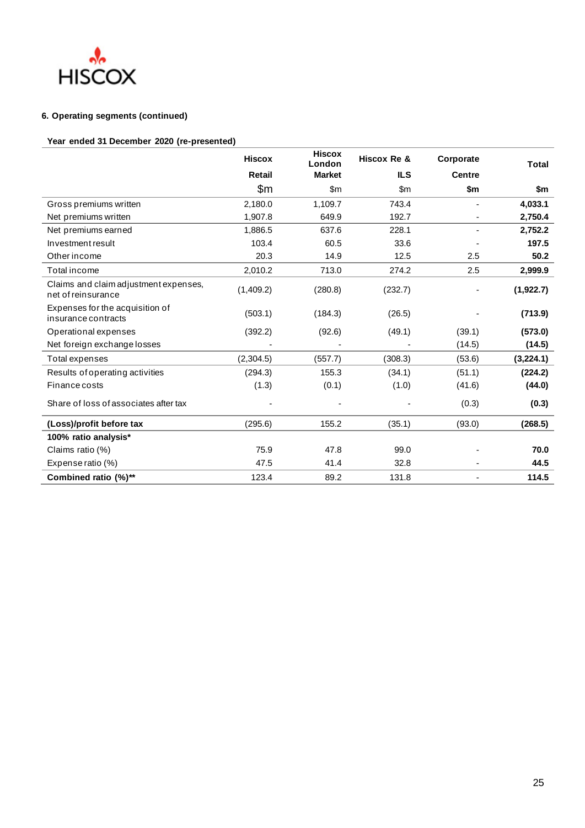

# **Year ended 31 December 2020 (re-presented)**

|                                                             | <b>Hiscox</b> | <b>Hiscox</b><br>London | Hiscox Re & | Corporate     | <b>Total</b> |
|-------------------------------------------------------------|---------------|-------------------------|-------------|---------------|--------------|
|                                                             | <b>Retail</b> | <b>Market</b>           | <b>ILS</b>  | <b>Centre</b> |              |
|                                                             | \$m           | $\mathsf{Sm}$           | \$m         | \$m           | \$m          |
| Gross premiums written                                      | 2,180.0       | 1,109.7                 | 743.4       |               | 4,033.1      |
| Net premiums written                                        | 1,907.8       | 649.9                   | 192.7       |               | 2,750.4      |
| Net premiums earned                                         | 1,886.5       | 637.6                   | 228.1       |               | 2,752.2      |
| Investment result                                           | 103.4         | 60.5                    | 33.6        |               | 197.5        |
| Other income                                                | 20.3          | 14.9                    | 12.5        | 2.5           | 50.2         |
| Total income                                                | 2,010.2       | 713.0                   | 274.2       | 2.5           | 2,999.9      |
| Claims and claim adjustment expenses,<br>net of reinsurance | (1,409.2)     | (280.8)                 | (232.7)     |               | (1,922.7)    |
| Expenses for the acquisition of<br>insurance contracts      | (503.1)       | (184.3)                 | (26.5)      |               | (713.9)      |
| Operational expenses                                        | (392.2)       | (92.6)                  | (49.1)      | (39.1)        | (573.0)      |
| Net foreign exchange losses                                 |               |                         |             | (14.5)        | (14.5)       |
| Total expenses                                              | (2,304.5)     | (557.7)                 | (308.3)     | (53.6)        | (3,224.1)    |
| Results of operating activities                             | (294.3)       | 155.3                   | (34.1)      | (51.1)        | (224.2)      |
| Finance costs                                               | (1.3)         | (0.1)                   | (1.0)       | (41.6)        | (44.0)       |
| Share of loss of associates after tax                       |               |                         |             | (0.3)         | (0.3)        |
| (Loss)/profit before tax                                    | (295.6)       | 155.2                   | (35.1)      | (93.0)        | (268.5)      |
| 100% ratio analysis*                                        |               |                         |             |               |              |
| Claims ratio (%)                                            | 75.9          | 47.8                    | 99.0        |               | 70.0         |
| Expense ratio (%)                                           | 47.5          | 41.4                    | 32.8        |               | 44.5         |
| Combined ratio (%)**                                        | 123.4         | 89.2                    | 131.8       |               | 114.5        |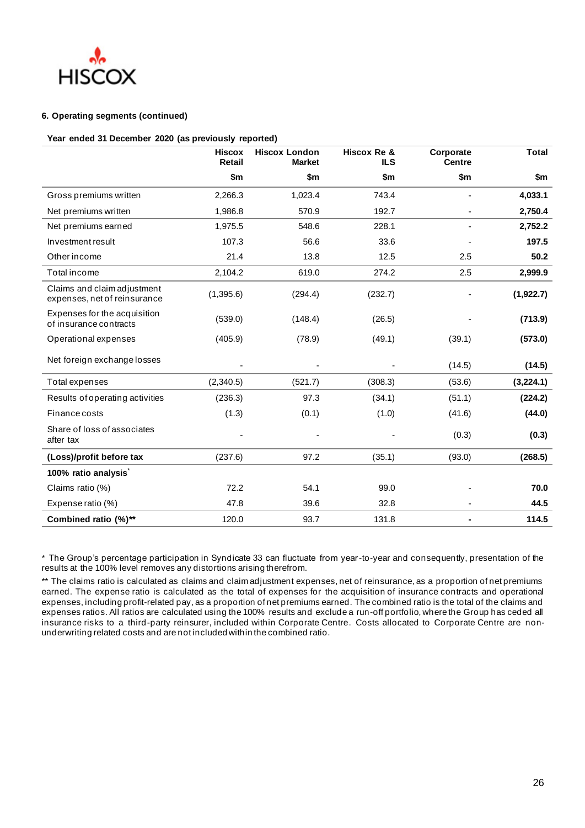

#### **Year ended 31 December 2020 (as previously reported)**

|                                                             | <b>Hiscox</b><br><b>Retail</b> | <b>Hiscox London</b><br><b>Market</b> | Hiscox Re &<br><b>ILS</b> | Corporate<br><b>Centre</b> | <b>Total</b> |
|-------------------------------------------------------------|--------------------------------|---------------------------------------|---------------------------|----------------------------|--------------|
|                                                             | \$m                            | \$m                                   | \$m                       | \$m                        | \$m          |
| Gross premiums written                                      | 2,266.3                        | 1,023.4                               | 743.4                     |                            | 4,033.1      |
| Net premiums written                                        | 1,986.8                        | 570.9                                 | 192.7                     |                            | 2,750.4      |
| Net premiums earned                                         | 1,975.5                        | 548.6                                 | 228.1                     |                            | 2,752.2      |
| Investment result                                           | 107.3                          | 56.6                                  | 33.6                      |                            | 197.5        |
| Other income                                                | 21.4                           | 13.8                                  | 12.5                      | 2.5                        | 50.2         |
| Total income                                                | 2,104.2                        | 619.0                                 | 274.2                     | 2.5                        | 2,999.9      |
| Claims and claim adjustment<br>expenses, net of reinsurance | (1,395.6)                      | (294.4)                               | (232.7)                   |                            | (1,922.7)    |
| Expenses for the acquisition<br>of insurance contracts      | (539.0)                        | (148.4)                               | (26.5)                    |                            | (713.9)      |
| Operational expenses                                        | (405.9)                        | (78.9)                                | (49.1)                    | (39.1)                     | (573.0)      |
| Net foreign exchange losses                                 |                                |                                       |                           | (14.5)                     | (14.5)       |
| Total expenses                                              | (2,340.5)                      | (521.7)                               | (308.3)                   | (53.6)                     | (3,224.1)    |
| Results of operating activities                             | (236.3)                        | 97.3                                  | (34.1)                    | (51.1)                     | (224.2)      |
| Finance costs                                               | (1.3)                          | (0.1)                                 | (1.0)                     | (41.6)                     | (44.0)       |
| Share of loss of associates<br>after tax                    |                                |                                       |                           | (0.3)                      | (0.3)        |
| (Loss)/profit before tax                                    | (237.6)                        | 97.2                                  | (35.1)                    | (93.0)                     | (268.5)      |
| 100% ratio analysis <sup>*</sup>                            |                                |                                       |                           |                            |              |
| Claims ratio (%)                                            | 72.2                           | 54.1                                  | 99.0                      |                            | 70.0         |
| Expense ratio (%)                                           | 47.8                           | 39.6                                  | 32.8                      |                            | 44.5         |
| Combined ratio (%)**                                        | 120.0                          | 93.7                                  | 131.8                     |                            | 114.5        |

\* The Group's percentage participation in Syndicate 33 can fluctuate from year-to-year and consequently, presentation of the results at the 100% level removes any distortions arising therefrom.

\*\* The claims ratio is calculated as claims and claim adjustment expenses, net of reinsurance, as a proportion of net premiums earned. The expense ratio is calculated as the total of expenses for the acquisition of insurance contracts and operational expenses, including profit-related pay, as a proportion of net premiums earned. The combined ratio is the total of the claims and expenses ratios. All ratios are calculated using the 100% results and exclude a run-off portfolio, where the Group has ceded all insurance risks to a third-party reinsurer, included within Corporate Centre. Costs allocated to Corporate Centre are nonunderwriting related costs and are not included within the combined ratio.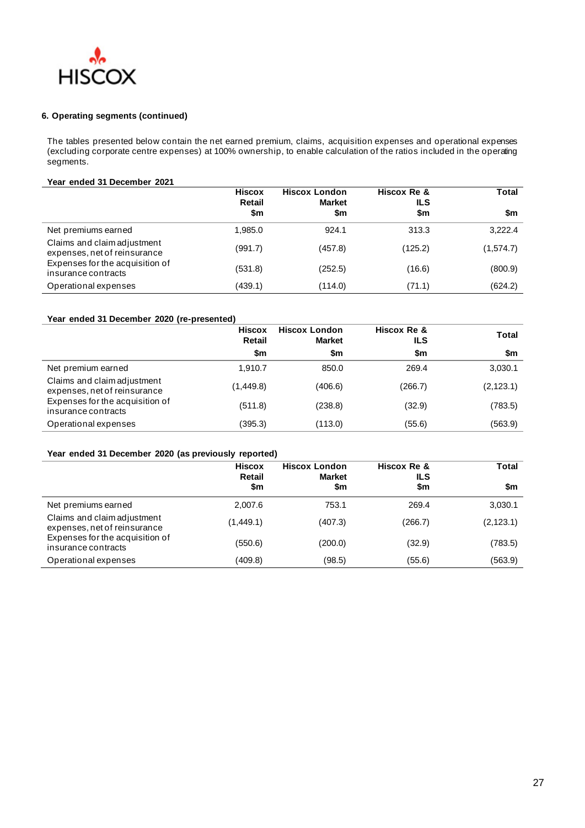

The tables presented below contain the net earned premium, claims, acquisition expenses and operational expenses (excluding corporate centre expenses) at 100% ownership, to enable calculation of the ratios included in the operating segments.

# **Year ended 31 December 2021**

|                                                             | <b>Hiscox</b><br>Retail | <b>Hiscox London</b><br><b>Market</b> | Hiscox Re &<br>ILS | <b>Total</b> |
|-------------------------------------------------------------|-------------------------|---------------------------------------|--------------------|--------------|
|                                                             | \$m                     | \$m                                   | \$m                | \$m          |
| Net premiums earned                                         | 1,985.0                 | 924.1                                 | 313.3              | 3,222.4      |
| Claims and claim adjustment<br>expenses, net of reinsurance | (991.7)                 | (457.8)                               | (125.2)            | (1,574.7)    |
| Expenses for the acquisition of<br>insurance contracts      | (531.8)                 | (252.5)                               | (16.6)             | (800.9)      |
| Operational expenses                                        | (439.1)                 | (114.0)                               | (71.1)             | (624.2)      |

# **Year ended 31 December 2020 (re-presented)**

|                                                             | <b>Hiscox</b><br><b>Retail</b> | <b>Hiscox London</b><br><b>Market</b> | Hiscox Re &<br>ILS | Total      |
|-------------------------------------------------------------|--------------------------------|---------------------------------------|--------------------|------------|
|                                                             | \$m                            | \$m                                   | \$m                | \$m        |
| Net premium earned                                          | 1.910.7                        | 850.0                                 | 269.4              | 3,030.1    |
| Claims and claim adjustment<br>expenses, net of reinsurance | (1,449.8)                      | (406.6)                               | (266.7)            | (2, 123.1) |
| Expenses for the acquisition of<br>insurance contracts      | (511.8)                        | (238.8)                               | (32.9)             | (783.5)    |
| Operational expenses                                        | (395.3)                        | (113.0)                               | (55.6)             | (563.9)    |

## **Year ended 31 December 2020 (as previously reported)**

|                                                        | <b>Hiscox</b><br><b>Retail</b><br>\$m | <b>Hiscox London</b><br><b>Market</b><br>\$m | Hiscox Re &<br>ILS<br>\$m | Total<br>\$m |
|--------------------------------------------------------|---------------------------------------|----------------------------------------------|---------------------------|--------------|
| Net premiums earned                                    | 2.007.6                               | 753.1                                        | 269.4                     | 3,030.1      |
| Claims and claim adjustment                            |                                       |                                              |                           |              |
| expenses, net of reinsurance                           | (1,449.1)                             | (407.3)                                      | (266.7)                   | (2, 123.1)   |
| Expenses for the acquisition of<br>insurance contracts | (550.6)                               | (200.0)                                      | (32.9)                    | (783.5)      |
| Operational expenses                                   | (409.8)                               | (98.5)                                       | (55.6)                    | (563.9)      |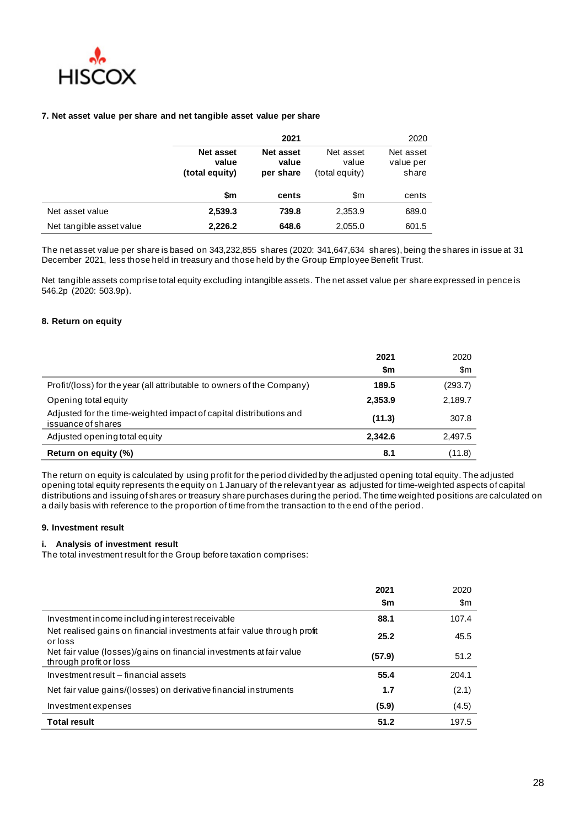

#### **7. Net asset value per share and net tangible asset value per share**

|                          |                                             | 2021                                   |                                      | 2020                            |
|--------------------------|---------------------------------------------|----------------------------------------|--------------------------------------|---------------------------------|
|                          | <b>Net asset</b><br>value<br>(total equity) | <b>Net asset</b><br>value<br>per share | Net asset<br>value<br>(total equity) | Net asset<br>value per<br>share |
|                          | \$m                                         | cents                                  | \$m                                  | cents                           |
| Net asset value          | 2,539.3                                     | 739.8                                  | 2,353.9                              | 689.0                           |
| Net tangible asset value | 2,226.2                                     | 648.6                                  | 2,055.0                              | 601.5                           |

The net asset value per share is based on 343,232,855 shares (2020: 341,647,634 shares), being the shares in issue at 31 December 2021, less those held in treasury and those held by the Group Employee Benefit Trust.

Net tangible assets comprise total equity excluding intangible assets. The net asset value per share expressed in pence is 546.2p (2020: 503.9p).

## **8. Return on equity**

|                                                                                          | 2021<br>\$m | 2020<br>\$m |
|------------------------------------------------------------------------------------------|-------------|-------------|
| Profit/(loss) for the year (all attributable to owners of the Company)                   | 189.5       | (293.7)     |
| Opening total equity                                                                     | 2,353.9     | 2,189.7     |
| Adjusted for the time-weighted impact of capital distributions and<br>issuance of shares | (11.3)      | 307.8       |
| Adjusted opening total equity                                                            | 2.342.6     | 2,497.5     |
| Return on equity (%)                                                                     | 8.1         | (11.8)      |

The return on equity is calculated by using profit for the period divided by the adjusted opening total equity. The adjusted opening total equity represents the equity on 1 January of the relevant year as adjusted for time-weighted aspects of capital distributions and issuing of shares or treasury share purchases during the period. The time weighted positions are calculated on a daily basis with reference to the proportion of time from the transaction to th e end of the period.

#### **9. Investment result**

 $\overline{a}$ l,

#### **i. Analysis of investment result**

The total investment result for the Group before taxation comprises:

|                                                                                                | 2021   | 2020          |
|------------------------------------------------------------------------------------------------|--------|---------------|
|                                                                                                | \$m    | $\mathsf{Sm}$ |
| Investment income including interest receivable                                                | 88.1   | 107.4         |
| Net realised gains on financial investments at fair value through profit<br>orloss             | 25.2   | 45.5          |
| Net fair value (losses)/gains on financial investments at fair value<br>through profit or loss | (57.9) | 51.2          |
| Investment result – financial assets                                                           | 55.4   | 204.1         |
| Net fair value gains/(losses) on derivative financial instruments                              | 1.7    | (2.1)         |
| Investment expenses                                                                            | (5.9)  | (4.5)         |
| <b>Total result</b>                                                                            | 51.2   | 197.5         |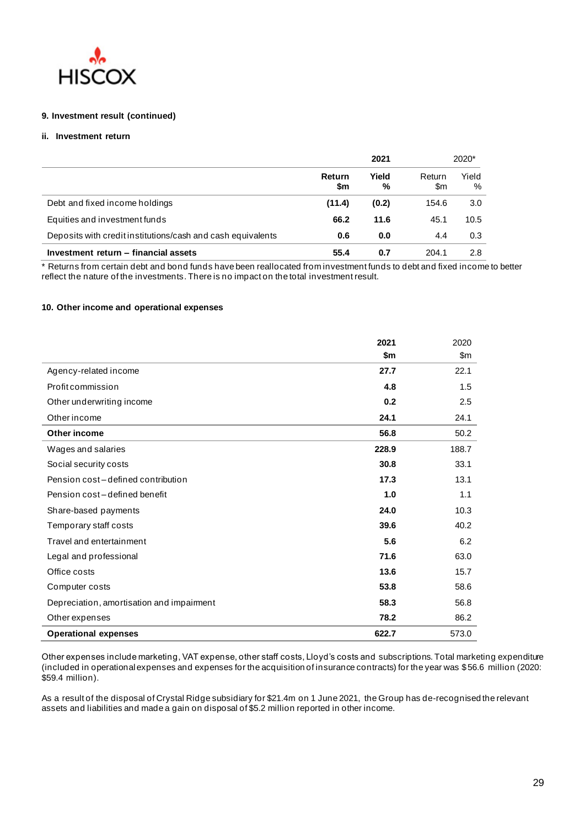

## **9. Investment result (continued)**

## **ii. Investment return**

|                                                             |               | 2021       |               | 2020*      |  |
|-------------------------------------------------------------|---------------|------------|---------------|------------|--|
|                                                             | Return<br>\$m | Yield<br>% | Return<br>\$m | Yield<br>% |  |
| Debt and fixed income holdings                              | (11.4)        | (0.2)      | 154.6         | 3.0        |  |
| Equities and investment funds                               | 66.2          | 11.6       | 45.1          | 10.5       |  |
| Deposits with credit institutions/cash and cash equivalents | 0.6           | 0.0        | 4.4           | 0.3        |  |
| Investment return - financial assets                        | 55.4          | 0.7        | 204.1         | 2.8        |  |

\* Returns from certain debt and bond funds have been reallocated from investment funds to debt and fixed income to better reflect the nature of the investments. There is no impact on the total investment result.

## **10. Other income and operational expenses**

|                                           | 2021  | 2020          |
|-------------------------------------------|-------|---------------|
|                                           | \$m   | $\mathsf{Sm}$ |
| Agency-related income                     | 27.7  | 22.1          |
| Profit commission                         | 4.8   | 1.5           |
| Other underwriting income                 | 0.2   | 2.5           |
| Other income                              | 24.1  | 24.1          |
| Other income                              | 56.8  | 50.2          |
| Wages and salaries                        | 228.9 | 188.7         |
| Social security costs                     | 30.8  | 33.1          |
| Pension cost-defined contribution         | 17.3  | 13.1          |
| Pension cost-defined benefit              | 1.0   | 1.1           |
| Share-based payments                      | 24.0  | 10.3          |
| Temporary staff costs                     | 39.6  | 40.2          |
| Travel and entertainment                  | 5.6   | 6.2           |
| Legal and professional                    | 71.6  | 63.0          |
| Office costs                              | 13.6  | 15.7          |
| Computer costs                            | 53.8  | 58.6          |
| Depreciation, amortisation and impairment | 58.3  | 56.8          |
| Other expenses                            | 78.2  | 86.2          |
| <b>Operational expenses</b>               | 622.7 | 573.0         |

Other expenses include marketing, VAT expense, other staff costs, Lloyd's costs and subscriptions. Total marketing expenditure (included in operational expenses and expenses for the acquisition of insurance contracts) for the year was \$56.6 million (2020: \$59.4 million).

As a result of the disposal of Crystal Ridge subsidiary for \$21.4m on 1 June 2021, the Group has de-recognised the relevant assets and liabilities and made a gain on disposal of \$5.2 million reported in other income.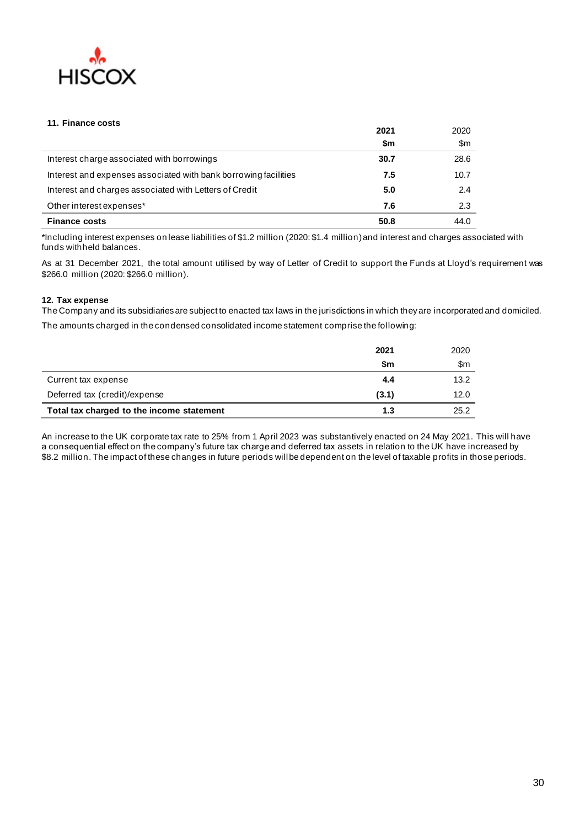

### **11. Finance costs**

|                                                                 | 2021 | 2020          |
|-----------------------------------------------------------------|------|---------------|
|                                                                 | \$m  | $\mathsf{Sm}$ |
| Interest charge associated with borrowings                      | 30.7 | 28.6          |
| Interest and expenses associated with bank borrowing facilities | 7.5  | 10.7          |
| Interest and charges associated with Letters of Credit          | 5.0  | 2.4           |
| Other interest expenses*                                        | 7.6  | 2.3           |
| <b>Finance costs</b>                                            | 50.8 | 44.0          |

\*Including interest expenses on lease liabilities of \$1.2 million (2020: \$1.4 million)and interest and charges associated with funds withheld balances.

As at 31 December 2021, the total amount utilised by way of Letter of Credit to support the Funds at Lloyd's requirement was \$266.0 million (2020: \$266.0 million).

#### **12. Tax expense**

The Company and its subsidiaries are subject to enacted tax laws in the jurisdictions in which they are incorporated and domiciled. The amounts charged in the condensed consolidated income statement comprise the following:

|                                           | 2021      | 2020 |
|-------------------------------------------|-----------|------|
|                                           | <b>Sm</b> | \$m  |
| Current tax expense                       | 4.4       | 13.2 |
| Deferred tax (credit)/expense             | (3.1)     | 12.0 |
| Total tax charged to the income statement | 1.3       | 25.2 |

An increase to the UK corporate tax rate to 25% from 1 April 2023 was substantively enacted on 24 May 2021. This will have a consequential effect on the company's future tax charge and deferred tax assets in relation to the UK have increased by \$8.2 million. The impact of these changes in future periods will be dependent on the level of taxable profits in those periods.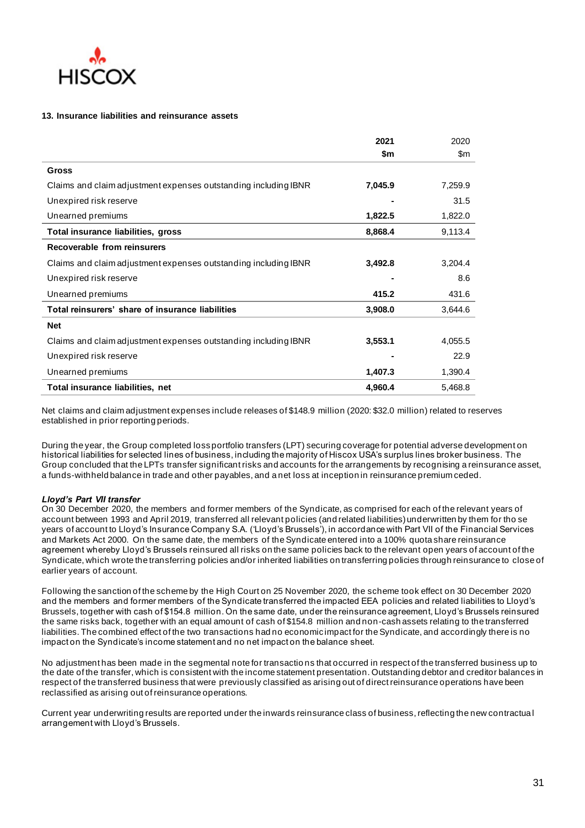

#### **13. Insurance liabilities and reinsurance assets**

|                                                                 | 2021    | 2020    |
|-----------------------------------------------------------------|---------|---------|
|                                                                 | \$m     | \$m     |
| Gross                                                           |         |         |
| Claims and claim adjustment expenses outstanding including IBNR | 7,045.9 | 7,259.9 |
| Unexpired risk reserve                                          |         | 31.5    |
| Unearned premiums                                               | 1,822.5 | 1,822.0 |
| Total insurance liabilities, gross                              | 8,868.4 | 9,113.4 |
| Recoverable from reinsurers                                     |         |         |
| Claims and claim adjustment expenses outstanding including IBNR | 3,492.8 | 3,204.4 |
| Unexpired risk reserve                                          |         | 8.6     |
| Unearned premiums                                               | 415.2   | 431.6   |
| Total reinsurers' share of insurance liabilities                | 3,908.0 | 3,644.6 |
| <b>Net</b>                                                      |         |         |
| Claims and claim adjustment expenses outstanding including IBNR | 3,553.1 | 4,055.5 |
| Unexpired risk reserve                                          |         | 22.9    |
| Unearned premiums                                               | 1,407.3 | 1,390.4 |
| Total insurance liabilities, net                                | 4,960.4 | 5,468.8 |

Net claims and claim adjustment expenses include releases of \$148.9 million (2020: \$32.0 million) related to reserves established in prior reporting periods.

During the year, the Group completed loss portfolio transfers (LPT) securing coverage for potential adverse development on historical liabilities for selected lines of business, including the majority of Hiscox USA's surplus lines broker business. The Group concluded that the LPTs transfer significant risks and accounts for the arrangements by recognising a reinsurance asset, a funds-withheld balance in trade and other payables, and a net loss at inception in reinsurance premium ceded.

#### *Lloyd's Part VII transfer*

On 30 December 2020, the members and former members of the Syndicate, as comprised for each of the relevant years of account between 1993 and April 2019, transferred all relevant policies (and related liabilities) underwritten by them for tho se years of account to Lloyd's Insurance Company S.A. ('Lloyd's Brussels'), in accordance with Part VII of the Financial Services and Markets Act 2000. On the same date, the members of the Syndicate entered into a 100% quota share reinsurance agreement whereby Lloyd's Brussels reinsured all risks on the same policies back to the relevant open years of account of the Syndicate, which wrote the transferring policies and/or inherited liabilities on transferring policies through reinsurance to close of earlier years of account.

Following the sanction of the scheme by the High Court on 25 November 2020, the scheme took effect on 30 December 2020 and the members and former members of the Syndicate transferred the impacted EEA policies and related liabilities to Lloyd's Brussels, together with cash of \$154.8 million. On the same date, under the reinsurance agreement, Lloyd's Brussels reinsured the same risks back, together with an equal amount of cash of \$154.8 million and non-cash assets relating to the transferred liabilities. The combined effect of the two transactions had no economic impact for the Syndicate, and accordingly there is no impact on the Syndicate's income statement and no net impact on the balance sheet.

No adjustment has been made in the segmental note for transactio ns that occurred in respect of the transferred business up to the date of the transfer, which is consistent with the income statement presentation. Outstanding debtor and creditor balances in respect of the transferred business that were previously classified as arising out of direct reinsurance operations have been reclassified as arising out of reinsurance operations.

Current year underwriting results are reported under the inwards reinsurance class of business, reflecting the new contractua l arrangement with Lloyd's Brussels.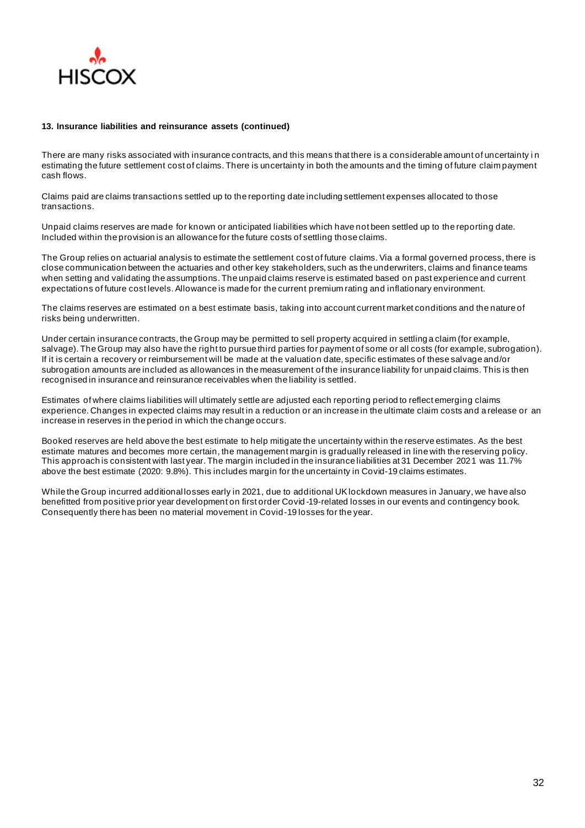

#### **13. Insurance liabilities and reinsurance assets (continued)**

There are many risks associated with insurance contracts, and this means that there is a considerable amount of uncertainty i n estimating the future settlement cost of claims. There is uncertainty in both the amounts and the timing of future claim payment cash flows.

Claims paid are claims transactions settled up to the reporting date including settlement expenses allocated to those transactions.

Unpaid claims reserves are made for known or anticipated liabilities which have not been settled up to the reporting date. Included within the provision is an allowance for the future costs of settling those claims.

The Group relies on actuarial analysis to estimate the settlement cost of future claims. Via a formal governed process, there is close communication between the actuaries and other key stakeholders, such as the underwriters, claims and finance teams when setting and validating the assumptions. The unpaid claims reserve is estimated based on past experience and current expectations of future cost levels. Allowance is made for the current premium rating and inflationary environment.

The claims reserves are estimated on a best estimate basis, taking into account current market conditions and the nature of risks being underwritten.

Under certain insurance contracts, the Group may be permitted to sell property acquired in settling a claim (for example, salvage). The Group may also have the right to pursue third parties for payment of some or all costs (for example, subrogation). If it is certain a recovery or reimbursement will be made at the valuation date, specific estimates of these salvage and/or subrogation amounts are included as allowances in the measurement of the insurance liability for unpaid claims. This is then recognised in insurance and reinsurance receivables when the liability is settled.

Estimates of where claims liabilities will ultimately settle are adjusted each reporting period to reflect emerging claims experience. Changes in expected claims may result in a reduction or an increase in the ultimate claim costs and a release or an increase in reserves in the period in which the change occurs.

Booked reserves are held above the best estimate to help mitigate the uncertainty within the reserve estimates. As the best estimate matures and becomes more certain, the management margin is gradually released in line with the reserving policy. This approach is consistent with last year. The margin included in the insurance liabilities at 31 December 2021 was 11.7% above the best estimate (2020: 9.8%). This includes margin for the uncertainty in Covid-19 claims estimates.

While the Group incurred additional losses early in 2021, due to additional UK lockdown measures in January, we have also benefitted from positive prior year development on first order Covid -19-related losses in our events and contingency book. Consequently there has been no material movement in Covid-19 losses for the year.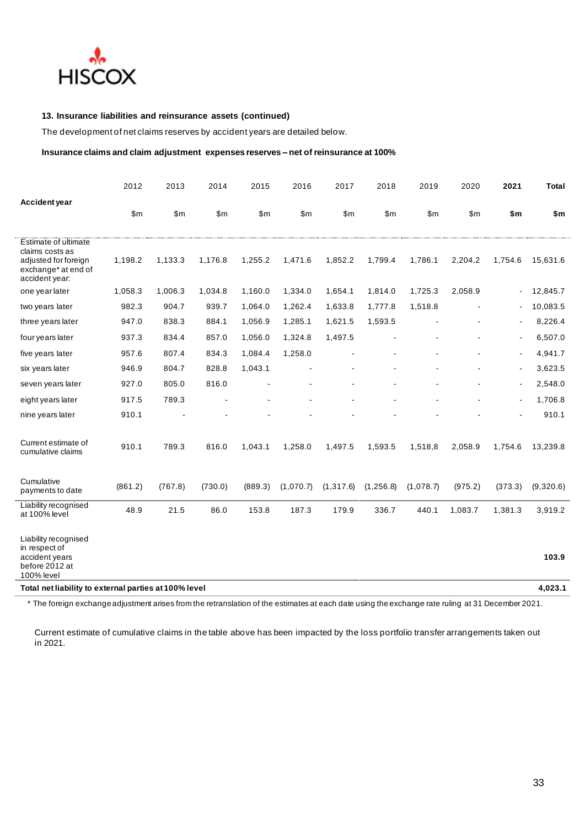

## **13. Insurance liabilities and reinsurance assets (continued)**

The development of net claims reserves by accident years are detailed below.

#### **Insurance claims and claim adjustment expenses reserves – net of reinsurance at 100%**

|                                                                                                          | 2012           | 2013         | 2014    | 2015    | 2016      | 2017           | 2018       | 2019         | 2020    | 2021                     | Total     |
|----------------------------------------------------------------------------------------------------------|----------------|--------------|---------|---------|-----------|----------------|------------|--------------|---------|--------------------------|-----------|
| <b>Accident year</b>                                                                                     | $\mathsf{S}$ m | $\mathsf{m}$ | \$m\$   | \$m\$   | \$m\$     | $\mathsf{S}$ m | \$m\$      | $\mathsf{m}$ | \$m\$   | \$m                      | \$m       |
| Estimate of ultimate<br>claims costs as<br>adjusted for foreign<br>exchange* at end of<br>accident year: | 1,198.2        | 1,133.3      | 1,176.8 | 1,255.2 | 1,471.6   | 1,852.2        | 1,799.4    | 1,786.1      | 2,204.2 | 1,754.6                  | 15,631.6  |
| one year later                                                                                           | 1,058.3        | 1,006.3      | 1,034.8 | 1,160.0 | 1,334.0   | 1,654.1        | 1,814.0    | 1,725.3      | 2,058.9 | $\blacksquare$           | 12,845.7  |
| two years later                                                                                          | 982.3          | 904.7        | 939.7   | 1,064.0 | 1,262.4   | 1,633.8        | 1,777.8    | 1,518.8      |         | $\blacksquare$           | 10,083.5  |
| three years later                                                                                        | 947.0          | 838.3        | 884.1   | 1,056.9 | 1,285.1   | 1,621.5        | 1,593.5    |              |         | $\overline{\phantom{a}}$ | 8,226.4   |
| four years later                                                                                         | 937.3          | 834.4        | 857.0   | 1,056.0 | 1,324.8   | 1,497.5        |            |              |         | $\blacksquare$           | 6,507.0   |
| five years later                                                                                         | 957.6          | 807.4        | 834.3   | 1,084.4 | 1,258.0   |                |            |              |         | $\blacksquare$           | 4,941.7   |
| six years later                                                                                          | 946.9          | 804.7        | 828.8   | 1,043.1 |           |                |            |              |         | $\blacksquare$           | 3,623.5   |
| seven years later                                                                                        | 927.0          | 805.0        | 816.0   |         |           |                |            |              |         | $\blacksquare$           | 2,548.0   |
| eight years later                                                                                        | 917.5          | 789.3        |         |         |           |                |            |              |         | ÷,                       | 1,706.8   |
| nine years later                                                                                         | 910.1          |              |         |         |           |                |            |              |         |                          | 910.1     |
| Current estimate of<br>cumulative claims                                                                 | 910.1          | 789.3        | 816.0   | 1,043.1 | 1,258.0   | 1,497.5        | 1,593.5    | 1,518,8      | 2,058.9 | 1,754.6                  | 13,239.8  |
| Cumulative<br>payments to date                                                                           | (861.2)        | (767.8)      | (730.0) | (889.3) | (1,070.7) | (1,317.6)      | (1, 256.8) | (1,078.7)    | (975.2) | (373.3)                  | (9,320.6) |
| Liability recognised<br>at 100% level                                                                    | 48.9           | 21.5         | 86.0    | 153.8   | 187.3     | 179.9          | 336.7      | 440.1        | 1,083.7 | 1,381.3                  | 3,919.2   |
| Liability recognised<br>in respect of<br>accident years<br>before 2012 at                                |                |              |         |         |           |                |            |              |         |                          | 103.9     |
| 100% level<br>Total net liability to external parties at 100% level                                      |                |              |         |         |           |                |            |              |         |                          | 4,023.1   |

\* The foreign exchange adjustment arises from the retranslation of the estimates at each date using the exchange rate ruling at 31 December 2021.

Current estimate of cumulative claims in the table above has been impacted by the loss portfolio transfer arrangements taken out in 2021.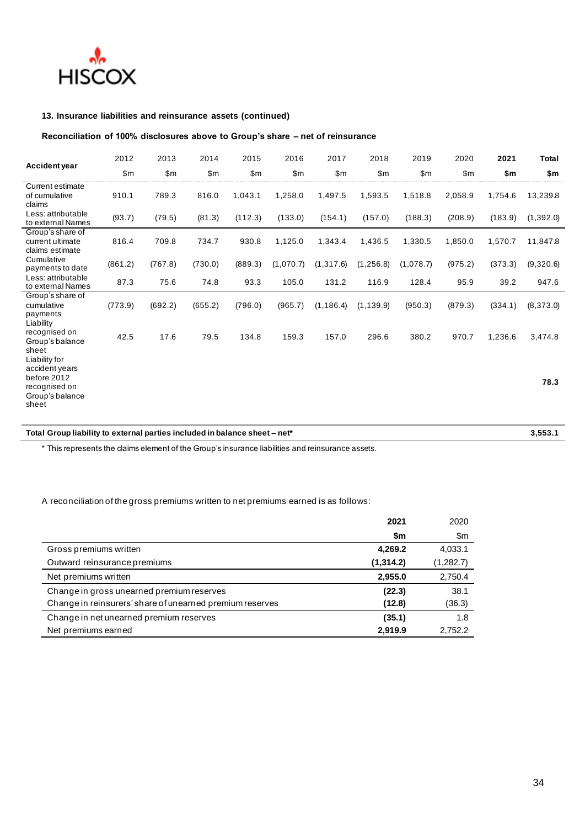

## **13. Insurance liabilities and reinsurance assets (continued)**

## **Reconciliation of 100% disclosures above to Group's share – net of reinsurance**

| <b>Accident year</b>                                                         | 2012    | 2013    | 2014    | 2015    | 2016      | 2017       | 2018       | 2019      | 2020    | 2021    | <b>Total</b> |
|------------------------------------------------------------------------------|---------|---------|---------|---------|-----------|------------|------------|-----------|---------|---------|--------------|
|                                                                              | \$m     | \$m\$   | \$m\$   | \$m     | \$m\$     | \$m\$      | \$m\$      | \$m\$     | \$m     | \$m     | \$m          |
| Current estimate<br>of cumulative<br>claims                                  | 910.1   | 789.3   | 816.0   | 1,043.1 | 1,258.0   | 1,497.5    | 1,593.5    | 1,518.8   | 2,058.9 | 1,754.6 | 13,239.8     |
| Less: attributable<br>to external Names                                      | (93.7)  | (79.5)  | (81.3)  | (112.3) | (133.0)   | (154.1)    | (157.0)    | (188.3)   | (208.9) | (183.9) | (1, 392.0)   |
| Group's share of<br>current ultimate<br>claims estimate                      | 816.4   | 709.8   | 734.7   | 930.8   | 1,125.0   | 1,343.4    | 1,436.5    | 1,330.5   | 1,850.0 | 1,570.7 | 11,847.8     |
| Cumulative<br>payments to date                                               | (861.2) | (767.8) | (730.0) | (889.3) | (1,070.7) | (1, 317.6) | (1, 256.8) | (1,078.7) | (975.2) | (373.3) | (9,320.6)    |
| Less: attributable<br>to external Names                                      | 87.3    | 75.6    | 74.8    | 93.3    | 105.0     | 131.2      | 116.9      | 128.4     | 95.9    | 39.2    | 947.6        |
| Group's share of<br>cumulative<br>payments<br>Liability                      | (773.9) | (692.2) | (655.2) | (796.0) | (965.7)   | (1, 186.4) | (1, 139.9) | (950.3)   | (879.3) | (334.1) | (8,373.0)    |
| recognised on<br>Group's balance<br>sheet<br>Liability for<br>accident years | 42.5    | 17.6    | 79.5    | 134.8   | 159.3     | 157.0      | 296.6      | 380.2     | 970.7   | 1,236.6 | 3,474.8      |
| before 2012<br>recognised on<br>Group's balance<br>sheet                     |         |         |         |         |           |            |            |           |         |         | 78.3         |

# **Total Group liability to external parties included in balance sheet – net\* 3,553.1**

\* This represents the claims element of the Group's insurance liabilities and reinsurance assets.

## A reconciliation of the gross premiums written to net premiums earned is as follows:

|                                                          | 2021      | 2020      |
|----------------------------------------------------------|-----------|-----------|
|                                                          | \$m       | \$m       |
| Gross premiums written                                   | 4,269.2   | 4,033.1   |
| Outward reinsurance premiums                             | (1,314.2) | (1,282.7) |
| Net premiums written                                     | 2,955.0   | 2,750.4   |
| Change in gross unearned premium reserves                | (22.3)    | 38.1      |
| Change in reinsurers' share of unearned premium reserves | (12.8)    | (36.3)    |
| Change in net unearned premium reserves                  | (35.1)    | 1.8       |
| Net premiums earned                                      | 2,919.9   | 2.752.2   |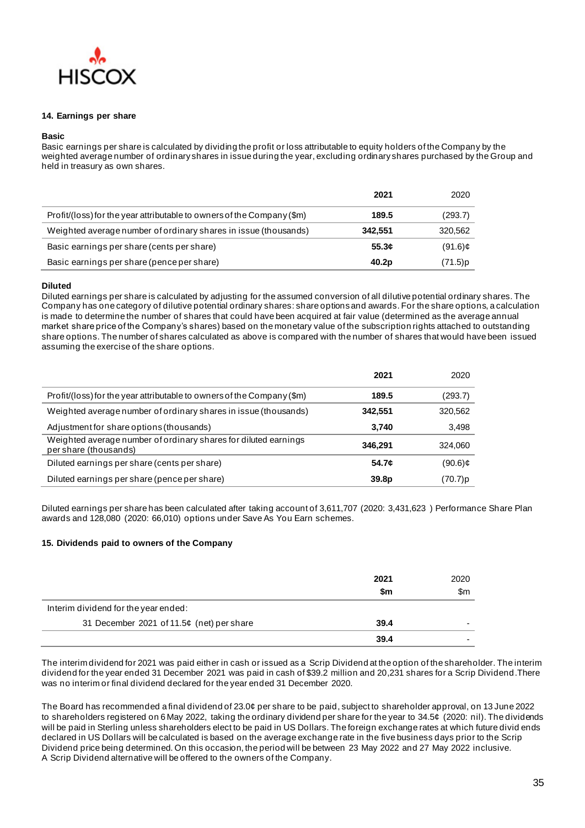

#### **14. Earnings per share**

#### **Basic**

Basic earnings per share is calculated by dividing the profit or loss attributable to equity holders of the Company by the weighted average number of ordinary shares in issue during the year, excluding ordinary shares purchased by the Group and held in treasury as own shares.

|                                                                        | 2021              | 2020       |
|------------------------------------------------------------------------|-------------------|------------|
| Profit/(loss) for the year attributable to owners of the Company (\$m) | 189.5             | (293.7)    |
| Weighted average number of ordinary shares in issue (thousands)        | 342,551           | 320,562    |
| Basic earnings per share (cents per share)                             | 55.3c             | $(91.6)$ ¢ |
| Basic earnings per share (pence per share)                             | 40.2 <sub>p</sub> | (71.5)p    |

#### **Diluted**

Diluted earnings per share is calculated by adjusting for the assumed conversion of all dilutive potential ordinary shares. The Company has one category of dilutive potential ordinary shares: share options and awards. For the share options, a calculation is made to determine the number of shares that could have been acquired at fair value (determined as the average annual market share price of the Company's shares) based on the monetary value of the subscription rights attached to outstanding share options. The number of shares calculated as above is compared with the number of shares that would have been issued assuming the exercise of the share options.

|                                                                                          | 2021    | 2020       |
|------------------------------------------------------------------------------------------|---------|------------|
| Profit/(loss) for the year attributable to owners of the Company (\$m)                   | 189.5   | (293.7)    |
| Weighted average number of ordinary shares in issue (thousands)                          | 342,551 | 320,562    |
| Adjustment for share options (thousands)                                                 | 3.740   | 3,498      |
| Weighted average number of ordinary shares for diluted earnings<br>per share (thousands) | 346.291 | 324.060    |
| Diluted earnings per share (cents per share)                                             | 54.7¢   | $(90.6)$ ¢ |
| Diluted earnings per share (pence per share)                                             | 39.8p   | (70.7)p    |

Diluted earnings per share has been calculated after taking account of 3,611,707 (2020: 3,431,623 ) Performance Share Plan awards and 128,080 (2020: 66,010) options under Save As You Earn schemes.

#### **15. Dividends paid to owners of the Company**

|                                           | 2021 | 2020 |
|-------------------------------------------|------|------|
|                                           | \$m  | \$m  |
| Interim dividend for the year ended:      |      |      |
| 31 December 2021 of 11.5¢ (net) per share | 39.4 | -    |
|                                           | 39.4 |      |

The interim dividend for 2021 was paid either in cash or issued as a Scrip Dividend at the option of the shareholder. The interim dividend for the year ended 31 December 2021 was paid in cash of \$39.2 million and 20,231 shares for a Scrip Dividend.There was no interim or final dividend declared for the year ended 31 December 2020.

The Board has recommended a final dividend of 23.0¢ per share to be paid, subject to shareholder approval, on 13 June 2022 to shareholders registered on 6 May 2022, taking the ordinary dividend per share for the year to 34.5¢ (2020: nil). The dividends will be paid in Sterling unless shareholders elect to be paid in US Dollars. The foreign exchange rates at which future divid ends declared in US Dollars will be calculated is based on the average exchange rate in the five business days prior to the Scrip Dividend price being determined. On this occasion, the period will be between 23 May 2022 and 27 May 2022 inclusive. A Scrip Dividend alternative will be offered to the owners of the Company.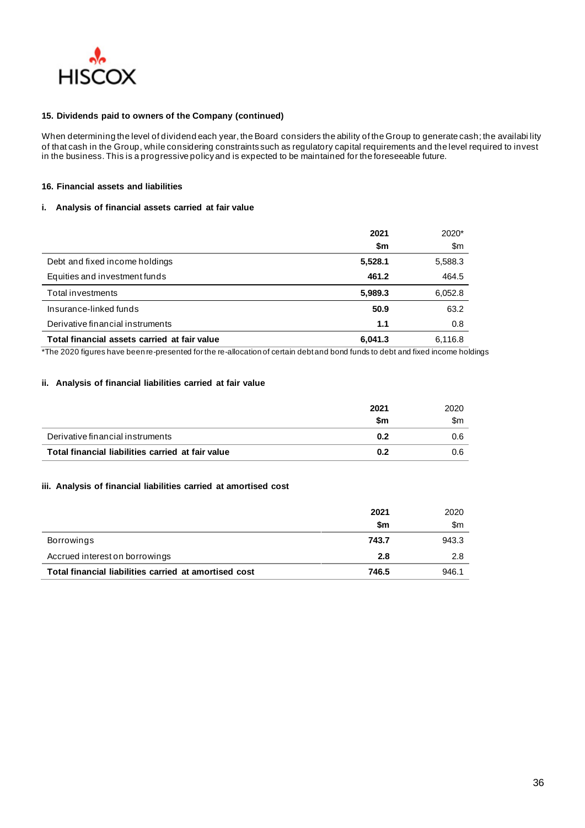

#### **15. Dividends paid to owners of the Company (continued)**

When determining the level of dividend each year, the Board considers the ability of the Group to generate cash; the availabi lity of that cash in the Group, while considering constraints such as regulatory capital requirements and the level required to invest in the business. This is a progressive policy and is expected to be maintained for the foreseeable future.

#### **16. Financial assets and liabilities**

#### **i. Analysis of financial assets carried at fair value**

|                                              | 2021    | 2020*   |
|----------------------------------------------|---------|---------|
|                                              | \$m     | \$m     |
| Debt and fixed income holdings               | 5,528.1 | 5,588.3 |
| Equities and investment funds                | 461.2   | 464.5   |
| Total investments                            | 5,989.3 | 6,052.8 |
| Insurance-linked funds                       | 50.9    | 63.2    |
| Derivative financial instruments             | 1.1     | 0.8     |
| Total financial assets carried at fair value | 6.041.3 | 6,116.8 |

\*The 2020 figures have been re-presented for the re-allocation of certain debt and bond funds to debt and fixed income holdings

#### **ii. Analysis of financial liabilities carried at fair value**

|                                                   | 2021 | 2020 |
|---------------------------------------------------|------|------|
|                                                   | \$m  | \$m  |
| Derivative financial instruments                  | 0.2  | 0.6  |
| Total financial liabilities carried at fair value | 0.2  | 0.6  |

#### **iii. Analysis of financial liabilities carried at amortised cost**

|                                                       | 2021  | 2020  |
|-------------------------------------------------------|-------|-------|
|                                                       | \$m   | \$m   |
| Borrowings                                            | 743.7 | 943.3 |
| Accrued interest on borrowings                        | 2.8   | 2.8   |
| Total financial liabilities carried at amortised cost | 746.5 | 946.1 |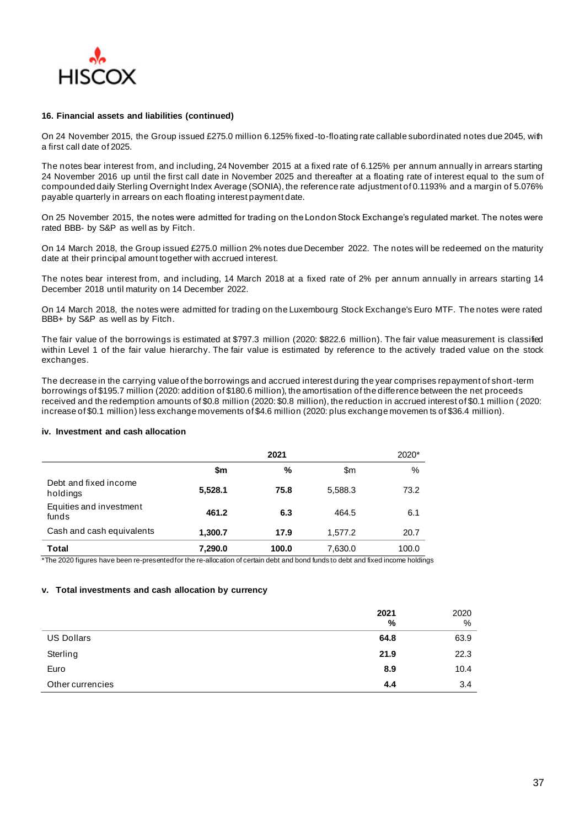

#### **16. Financial assets and liabilities (continued)**

On 24 November 2015, the Group issued £275.0 million 6.125% fixed-to-floating rate callable subordinated notes due 2045, with a first call date of 2025.

The notes bear interest from, and including, 24 November 2015 at a fixed rate of 6.125% per annum annually in arrears starting 24 November 2016 up until the first call date in November 2025 and thereafter at a floating rate of interest equal to the sum of compounded daily Sterling Overnight Index Average (SONIA), the reference rate adjustment of 0.1193% and a margin of 5.076% payable quarterly in arrears on each floating interest payment date.

On 25 November 2015, the notes were admitted for trading on the London Stock Exchange's regulated market. The notes were rated BBB- by S&P as well as by Fitch.

On 14 March 2018, the Group issued £275.0 million 2% notes due December 2022. The notes will be redeemed on the maturity date at their principal amount together with accrued interest.

The notes bear interest from, and including, 14 March 2018 at a fixed rate of 2% per annum annually in arrears starting 14 December 2018 until maturity on 14 December 2022.

On 14 March 2018, the notes were admitted for trading on the Luxembourg Stock Exchange's Euro MTF. The notes were rated BBB+ by S&P as well as by Fitch.

The fair value of the borrowings is estimated at \$797.3 million (2020: \$822.6 million). The fair value measurement is classified within Level 1 of the fair value hierarchy. The fair value is estimated by reference to the actively traded value on the stock exchanges.

The decrease in the carrying value of the borrowings and accrued interest during the year comprises repayment of short-term borrowings of \$195.7 million (2020: addition of \$180.6 million), the amortisation of the difference between the net proceeds received and the redemption amounts of \$0.8 million (2020: \$0.8 million), the reduction in accrued interest of \$0.1 million ( 2020: increase of \$0.1 million) less exchange movements of \$4.6 million (2020: plus exchange movemen ts of \$36.4 million).

#### **iv. Investment and cash allocation**

|                                   | 2021    |       |         | 2020* |
|-----------------------------------|---------|-------|---------|-------|
|                                   | \$m     | %     | \$m     | $\%$  |
| Debt and fixed income<br>holdings | 5,528.1 | 75.8  | 5.588.3 | 73.2  |
| Equities and investment<br>funds  | 461.2   | 6.3   | 464.5   | 6.1   |
| Cash and cash equivalents         | 1.300.7 | 17.9  | 1.577.2 | 20.7  |
| Total                             | 7,290.0 | 100.0 | 7.630.0 | 100.0 |

\*The 2020 figures have been re-presented for the re-allocation of certain debt and bond funds to debt and fixed income holdings

#### **v. Total investments and cash allocation by currency**

|                   | 2021<br>% | 2020<br>% |
|-------------------|-----------|-----------|
| <b>US Dollars</b> | 64.8      | 63.9      |
| Sterling          | 21.9      | 22.3      |
| Euro              | 8.9       | 10.4      |
| Other currencies  | 4.4       | 3.4       |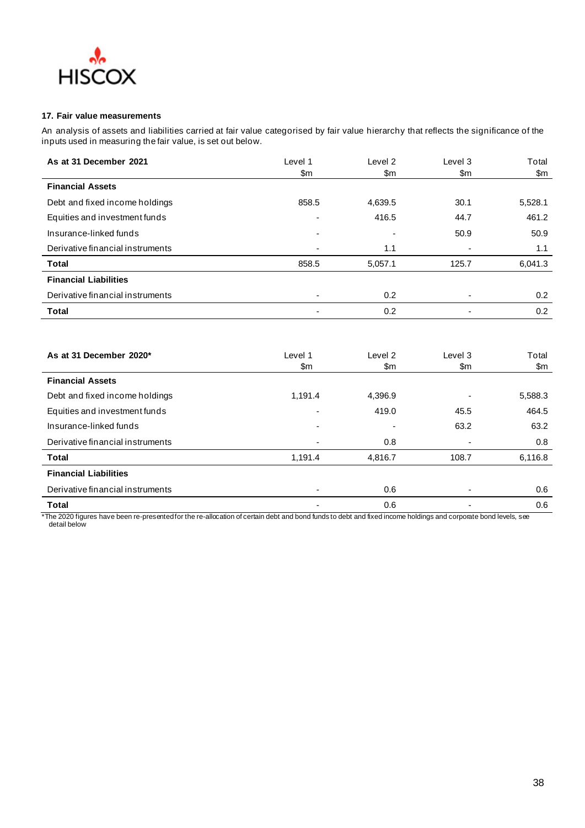

## **17. Fair value measurements**

An analysis of assets and liabilities carried at fair value categorised by fair value hierarchy that reflects the significance of the inputs used in measuring the fair value, is set out below.

| As at 31 December 2021           | Level 1                  | Level 2 | Level 3 | Total   |
|----------------------------------|--------------------------|---------|---------|---------|
|                                  | \$m                      | \$m     | \$m     | \$m     |
| <b>Financial Assets</b>          |                          |         |         |         |
| Debt and fixed income holdings   | 858.5                    | 4,639.5 | 30.1    | 5,528.1 |
| Equities and investment funds    | $\overline{\phantom{0}}$ | 416.5   | 44.7    | 461.2   |
| Insurance-linked funds           | ٠                        | -       | 50.9    | 50.9    |
| Derivative financial instruments |                          | 1.1     |         | 1.1     |
| <b>Total</b>                     | 858.5                    | 5,057.1 | 125.7   | 6,041.3 |
| <b>Financial Liabilities</b>     |                          |         |         |         |
| Derivative financial instruments |                          | 0.2     | ٠       | 0.2     |
| <b>Total</b>                     |                          | 0.2     | ۰       | 0.2     |
|                                  |                          |         |         |         |

| As at 31 December 2020*          | Level 1<br>\$m | Level 2<br>\$m           | Level 3<br>\$m | Total<br>\$m |
|----------------------------------|----------------|--------------------------|----------------|--------------|
| <b>Financial Assets</b>          |                |                          |                |              |
| Debt and fixed income holdings   | 1,191.4        | 4,396.9                  | ٠              | 5,588.3      |
| Equities and investment funds    | ٠              | 419.0                    | 45.5           | 464.5        |
| Insurance-linked funds           |                | $\overline{\phantom{0}}$ | 63.2           | 63.2         |
| Derivative financial instruments |                | 0.8                      | ٠              | 0.8          |
| <b>Total</b>                     | 1,191.4        | 4,816.7                  | 108.7          | 6,116.8      |
| <b>Financial Liabilities</b>     |                |                          |                |              |
| Derivative financial instruments |                | 0.6                      | ٠              | 0.6          |
| <b>Total</b>                     |                | 0.6                      | ۰              | 0.6          |

\*The 2020 figures have been re-presented for the re-allocation of certain debt and bond funds to debt and fixed income holdings and corporate bond levels, see detail below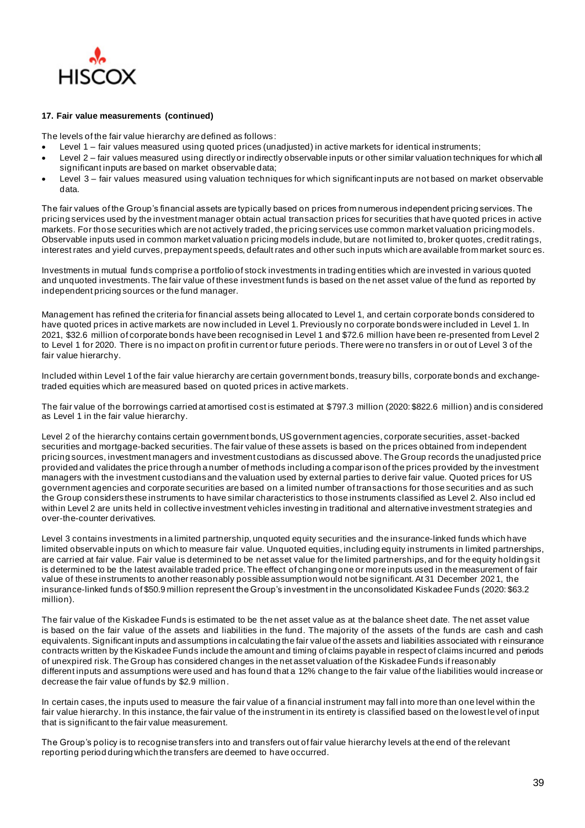

#### **17. Fair value measurements (continued)**

The levels of the fair value hierarchy are defined as follows:

- Level 1 fair values measured using quoted prices (unadjusted) in active markets for identical instruments;
- Level 2 fair values measured using directly or indirectly observable inputs or other similar valuation techniques for which all significant inputs are based on market observable data;
- Level 3 fair values measured using valuation techniques for which significant inputs are not based on market observable data.

The fair values of the Group's financial assets are typically based on prices from numerous independent pricing services. The pricing services used by the investment manager obtain actual transaction prices for securities that have quoted prices in active markets. For those securities which are not actively traded, the pricing services use common market valuation pricing models. Observable inputs used in common market valuatio n pricing models include, but are not limited to, broker quotes, credit ratings, interest rates and yield curves, prepayment speeds, default rates and other such inputs which are available from market sourc es.

Investments in mutual funds comprise a portfolio of stock investments in trading entities which are invested in various quoted and unquoted investments. The fair value of these investment funds is based on the net asset value of the fund as reported by independent pricing sources or the fund manager.

Management has refined the criteria for financial assets being allocated to Level 1, and certain corporate bonds considered to have quoted prices in active markets are now included in Level 1. Previously no corporate bonds were included in Level 1. In 2021, \$32.6 million of corporate bonds have been recognised in Level 1 and \$72.6 million have been re-presented from Level 2 to Level 1 for 2020. There is no impact on profit in current or future periods. There were no transfers in or out of Level 3 of the fair value hierarchy.

Included within Level 1 of the fair value hierarchy are certain government bonds, treasury bills, corporate bonds and exchangetraded equities which are measured based on quoted prices in active markets.

The fair value of the borrowings carried at amortised cost is estimated at \$797.3 million (2020: \$822.6 million) and is considered as Level 1 in the fair value hierarchy.

Level 2 of the hierarchy contains certain government bonds, US government agencies, corporate securities, asset-backed securities and mortgage-backed securities. The fair value of these assets is based on the prices obtained from independent pricing sources, investment managers and investment custodians as discussed above. The Group records the unadjusted price provided and validates the price through a number of methods including a comparison of the prices provided by the investment managers with the investment custodians and the valuation used by external parties to derive fair value. Quoted prices for US government agencies and corporate securities are based on a limited number of transactions for those securities and as such the Group considers these instruments to have similar characteristics to those instruments classified as Level 2. Also includ ed within Level 2 are units held in collective investment vehicles investing in traditional and alternative investment strategies and over-the-counter derivatives.

Level 3 contains investments in a limited partnership, unquoted equity securities and the insurance-linked funds which have limited observable inputs on which to measure fair value. Unquoted equities, including equity instruments in limited partnerships, are carried at fair value. Fair value is determined to be net asset value for the limited partnerships, and for the equity holdings it is determined to be the latest available traded price. The effect of changing one or more inputs used in the measurement of fair value of these instruments to another reasonably possible assumption would not be significant. At 31 December 2021, the insurance-linked funds of \$50.9 million represent the Group's investment in the unconsolidated Kiskadee Funds (2020: \$63.2 million).

The fair value of the Kiskadee Funds is estimated to be the net asset value as at the balance sheet date. The net asset value is based on the fair value of the assets and liabilities in the fund. The majority of the assets of the funds are cash and cash equivalents. Significant inputs and assumptions in calculating the fair value of the assets and liabilities associated with r einsurance contracts written by the Kiskadee Funds include the amount and timing of claims payable in respect of claims incurred and periods of unexpired risk. The Group has considered changes in the net asset valuation of the Kiskadee Funds if reasonably different inputs and assumptions were used and has found that a 12% change to the fair value of the liabilities would increase or decrease the fair value of funds by \$2.9 million.

In certain cases, the inputs used to measure the fair value of a financial instrument may fall into more than one level within the fair value hierarchy. In this instance, the fair value of the instrument in its entirety is classified based on the lowest level of input that is significant to the fair value measurement.

The Group's policy is to recognise transfers into and transfers out of fair value hierarchy levels at the end of the relevant reporting period during which the transfers are deemed to have occurred.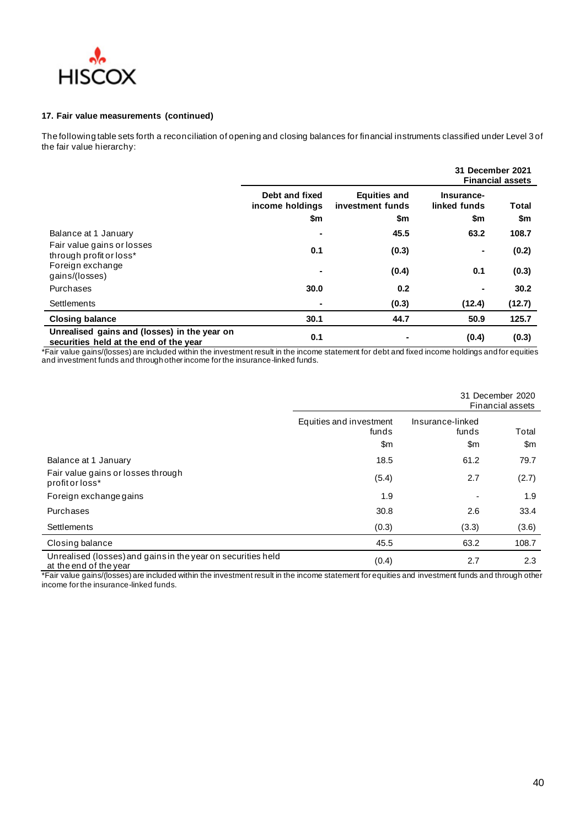

#### **17. Fair value measurements (continued)**

The following table sets forth a reconciliation of opening and closing balances for financial instruments classified under Level 3 of the fair value hierarchy:

|                                                                                        |                                          |                                                | 31 December 2021<br><b>Financial assets</b> |                     |  |
|----------------------------------------------------------------------------------------|------------------------------------------|------------------------------------------------|---------------------------------------------|---------------------|--|
|                                                                                        | Debt and fixed<br>income holdings<br>\$m | <b>Equities and</b><br>investment funds<br>\$m | Insurance-<br>linked funds<br>\$m           | <b>Total</b><br>\$m |  |
| Balance at 1 January                                                                   |                                          | 45.5                                           | 63.2                                        | 108.7               |  |
| Fair value gains or losses<br>through profit or loss*                                  | 0.1                                      | (0.3)                                          | $\blacksquare$                              | (0.2)               |  |
| Foreign exchange<br>gains/(losses)                                                     |                                          | (0.4)                                          | 0.1                                         | (0.3)               |  |
| Purchases                                                                              | 30.0                                     | 0.2                                            | $\blacksquare$                              | 30.2                |  |
| Settlements                                                                            |                                          | (0.3)                                          | (12.4)                                      | (12.7)              |  |
| <b>Closing balance</b>                                                                 | 30.1                                     | 44.7                                           | 50.9                                        | 125.7               |  |
| Unrealised gains and (losses) in the year on<br>securities held at the end of the year | 0.1                                      |                                                | (0.4)                                       | (0.3)               |  |

\*Fair value gains/(losses) are included within the investment result in the income statement for debt and fixed income holdings and for equities and investment funds and through other income for the insurance-linked funds.

|                                                                                        |                                         | 31 December 2020<br>Financial assets       |              |  |
|----------------------------------------------------------------------------------------|-----------------------------------------|--------------------------------------------|--------------|--|
|                                                                                        | Equities and investment<br>funds<br>\$m | Insurance-linked<br>funds<br>$\mathsf{Sm}$ | Total<br>\$m |  |
| Balance at 1 January                                                                   | 18.5                                    | 61.2                                       | 79.7         |  |
| Fair value gains or losses through<br>profit or loss*                                  | (5.4)                                   | 2.7                                        | (2.7)        |  |
| Foreign exchange gains                                                                 | 1.9                                     | $\blacksquare$                             | 1.9          |  |
| Purchases                                                                              | 30.8                                    | 2.6                                        | 33.4         |  |
| Settlements                                                                            | (0.3)                                   | (3.3)                                      | (3.6)        |  |
| Closing balance                                                                        | 45.5                                    | 63.2                                       | 108.7        |  |
| Unrealised (losses) and gains in the year on securities held<br>at the end of the year | (0.4)                                   | 2.7                                        | 2.3          |  |

\*Fair value gains/(losses) are included within the investment result in the income statement for equities and investment funds and through other income for the insurance-linked funds.